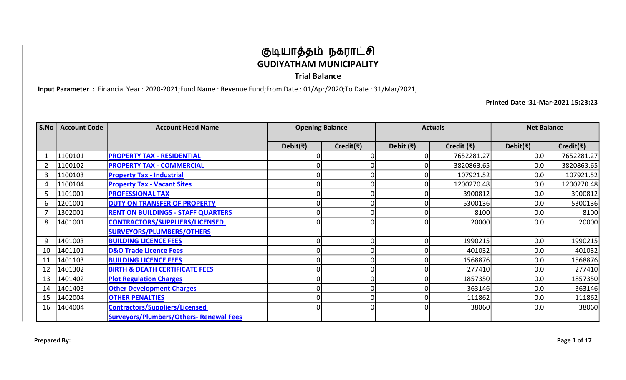Trial Balance

Input Parameter : Financial Year : 2020-2021;Fund Name : Revenue Fund;From Date : 01/Apr/2020;To Date : 31/Mar/2021;

| S.No | <b>Account Code</b> | <b>Account Head Name</b>                       |          | <b>Opening Balance</b> | <b>Actuals</b>    |               | <b>Net Balance</b>         |                             |
|------|---------------------|------------------------------------------------|----------|------------------------|-------------------|---------------|----------------------------|-----------------------------|
|      |                     |                                                | Debit(₹) | Credit( $\bar{\tau}$ ) | Debit $(\bar{x})$ | Credit $($ ₹) | Debit( $\overline{\tau}$ ) | Credit( $\overline{\tau}$ ) |
|      | 1100101             | <b>PROPERTY TAX - RESIDENTIAL</b>              |          |                        |                   | 7652281.27    | 0.0                        | 7652281.27                  |
|      | 1100102             | <b>PROPERTY TAX - COMMERCIAL</b>               |          |                        |                   | 3820863.65    | 0.0                        | 3820863.65                  |
|      | 1100103             | <b>Property Tax - Industrial</b>               |          |                        |                   | 107921.52     | 0.0                        | 107921.52                   |
|      | 1100104             | <b>Property Tax - Vacant Sites</b>             |          |                        |                   | 1200270.48    | 0.0                        | 1200270.48                  |
|      | 1101001             | <b>PROFESSIONAL TAX</b>                        |          |                        |                   | 3900812       | 0.0                        | 3900812                     |
| 6    | 1201001             | <b>DUTY ON TRANSFER OF PROPERTY</b>            |          |                        |                   | 5300136       | 0.0                        | 5300136                     |
|      | 1302001             | <b>RENT ON BUILDINGS - STAFF QUARTERS</b>      |          |                        |                   | 8100          | 0.0                        | 8100                        |
| 8    | 1401001             | <b>CONTRACTORS/SUPPLIERS/LICENSED</b>          |          |                        |                   | 20000         | 0.0                        | 20000                       |
|      |                     | <b>SURVEYORS/PLUMBERS/OTHERS</b>               |          |                        |                   |               |                            |                             |
| 9    | 1401003             | <b>BUILDING LICENCE FEES</b>                   |          |                        |                   | 1990215       | 0.0                        | 1990215                     |
| 10   | 1401101             | <b>D&amp;O Trade Licence Fees</b>              |          |                        |                   | 401032        | 0.0                        | 401032                      |
| 11   | 1401103             | <b>BUILDING LICENCE FEES</b>                   |          |                        |                   | 1568876       | 0.0                        | 1568876                     |
| 12   | 1401302             | <b>BIRTH &amp; DEATH CERTIFICATE FEES</b>      |          |                        |                   | 277410        | 0.0                        | 277410                      |
| 13   | 1401402             | <b>Plot Regulation Charges</b>                 |          |                        |                   | 1857350       | 0.0                        | 1857350                     |
| 14   | 1401403             | <b>Other Development Charges</b>               |          |                        |                   | 363146        | 0.0                        | 363146                      |
| 15   | 1402004             | <b>OTHER PENALTIES</b>                         |          |                        |                   | 111862        | 0.0                        | 111862                      |
| 16   | 1404004             | <b>Contractors/Suppliers/Licensed</b>          |          |                        |                   | 38060         | 0.0                        | 38060                       |
|      |                     | <b>Surveyors/Plumbers/Others- Renewal Fees</b> |          |                        |                   |               |                            |                             |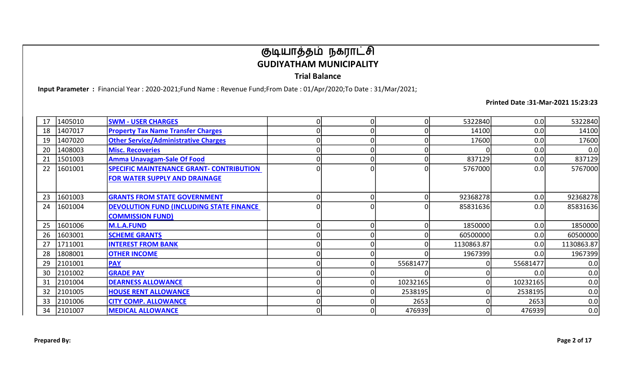Trial Balance

Input Parameter : Financial Year : 2020-2021;Fund Name : Revenue Fund;From Date : 01/Apr/2020;To Date : 31/Mar/2021;

| 17 | 1405010 | <b>SWM - USER CHARGES</b>                       |  |          | 5322840    | 0.0      | 5322840    |
|----|---------|-------------------------------------------------|--|----------|------------|----------|------------|
| 18 | 1407017 | <b>Property Tax Name Transfer Charges</b>       |  |          | 14100      | 0.0      | 14100      |
| 19 | 1407020 | <b>Other Service/Administrative Charges</b>     |  |          | 17600      | 0.0      | 17600      |
| 20 | 1408003 | <b>Misc. Recoveries</b>                         |  |          |            | 0.0      | 0.0        |
| 21 | 1501003 | <b>Amma Unavagam-Sale Of Food</b>               |  |          | 837129     | 0.0      | 837129     |
| 22 | 1601001 | <b>SPECIFIC MAINTENANCE GRANT- CONTRIBUTION</b> |  |          | 5767000    | 0.0      | 5767000    |
|    |         | FOR WATER SUPPLY AND DRAINAGE                   |  |          |            |          |            |
|    |         |                                                 |  |          |            |          |            |
| 23 | 1601003 | <b>GRANTS FROM STATE GOVERNMENT</b>             |  |          | 92368278   | 0.0      | 92368278   |
| 24 | 1601004 | <b>DEVOLUTION FUND (INCLUDING STATE FINANCE</b> |  |          | 85831636   | 0.0      | 85831636   |
|    |         | <b>COMMISSION FUND)</b>                         |  |          |            |          |            |
| 25 | 1601006 | M.L.A.FUND                                      |  |          | 1850000    | 0.0      | 1850000    |
| 26 | 1603001 | <b>SCHEME GRANTS</b>                            |  |          | 60500000   | 0.0      | 60500000   |
| 27 | 1711001 | <b>INTEREST FROM BANK</b>                       |  |          | 1130863.87 | 0.0      | 1130863.87 |
| 28 | 1808001 | <b>OTHER INCOME</b>                             |  |          | 1967399    | 0.0      | 1967399    |
| 29 | 2101001 | <b>PAY</b>                                      |  | 55681477 |            | 55681477 | 0.0        |
| 30 | 2101002 | <b>GRADE PAY</b>                                |  |          |            | 0.0      | 0.0        |
| 31 | 2101004 | <b>DEARNESS ALLOWANCE</b>                       |  | 10232165 | 0          | 10232165 | 0.0        |
| 32 | 2101005 | <b>HOUSE RENT ALLOWANCE</b>                     |  | 2538195  | 0          | 2538195  | 0.0        |
| 33 | 2101006 | <b>CITY COMP. ALLOWANCE</b>                     |  | 2653     |            | 2653     | 0.0        |
| 34 | 2101007 | <b>MEDICAL ALLOWANCE</b>                        |  | 476939   | 0          | 476939   | 0.0        |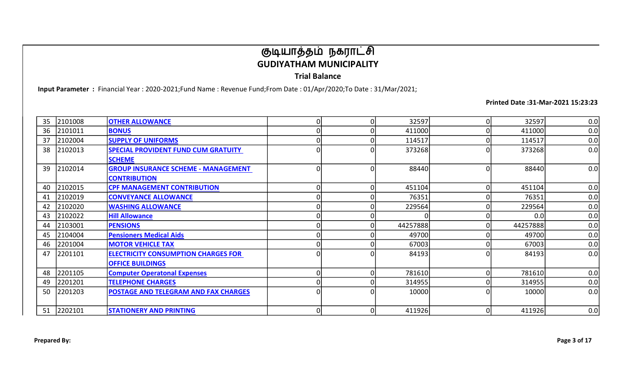Trial Balance

Input Parameter : Financial Year : 2020-2021;Fund Name : Revenue Fund;From Date : 01/Apr/2020;To Date : 31/Mar/2021;

| 35 | 2101008    | <b>OTHER ALLOWANCE</b>                      | $\Omega$ | 32597    | 0        | 32597    | 0.0 |
|----|------------|---------------------------------------------|----------|----------|----------|----------|-----|
| 36 | 2101011    | <b>BONUS</b>                                |          | 411000   |          | 411000   | 0.0 |
| 37 | 2102004    | <b>SUPPLY OF UNIFORMS</b>                   |          | 114517   |          | 114517   | 0.0 |
| 38 | 2102013    | <b>SPECIAL PROVIDENT FUND CUM GRATUITY</b>  | $\Omega$ | 373268   |          | 373268   | 0.0 |
|    |            | <b>SCHEME</b>                               |          |          |          |          |     |
| 39 | 2102014    | <b>GROUP INSURANCE SCHEME - MANAGEMENT</b>  | $\Omega$ | 88440    | 0        | 88440    | 0.0 |
|    |            | <b>CONTRIBUTION</b>                         |          |          |          |          |     |
| 40 | 2102015    | <b>CPF MANAGEMENT CONTRIBUTION</b>          | n        | 451104   | $\Omega$ | 451104   | 0.0 |
| 41 | 2102019    | <b>CONVEYANCE ALLOWANCE</b>                 |          | 76351    |          | 76351    | 0.0 |
| 42 | 2102020    | <b>WASHING ALLOWANCE</b>                    |          | 229564   | $\Omega$ | 229564   | 0.0 |
| 43 | 2102022    | <b>Hill Allowance</b>                       |          |          |          | 0.0      | 0.0 |
| 44 | 2103001    | <b>PENSIONS</b>                             |          | 44257888 |          | 44257888 | 0.0 |
| 45 | 2104004    | <b>Pensioners Medical Aids</b>              |          | 49700    |          | 49700    | 0.0 |
| 46 | 2201004    | <b>MOTOR VEHICLE TAX</b>                    |          | 67003    |          | 67003    | 0.0 |
| 47 | 2201101    | <b>ELECTRICITY CONSUMPTION CHARGES FOR</b>  | $\Omega$ | 84193    |          | 84193    | 0.0 |
|    |            | <b>OFFICE BUILDINGS</b>                     |          |          |          |          |     |
| 48 | 2201105    | <b>Computer Operatonal Expenses</b>         |          | 781610   |          | 781610   | 0.0 |
| 49 | 2201201    | <b>TELEPHONE CHARGES</b>                    |          | 314955   |          | 314955   | 0.0 |
| 50 | 2201203    | <b>POSTAGE AND TELEGRAM AND FAX CHARGES</b> | $\Omega$ | 10000    | 0        | 10000    | 0.0 |
|    |            |                                             |          |          |          |          |     |
|    | 51 2202101 | <b>STATIONERY AND PRINTING</b>              | $\Omega$ | 411926   | 0        | 411926   | 0.0 |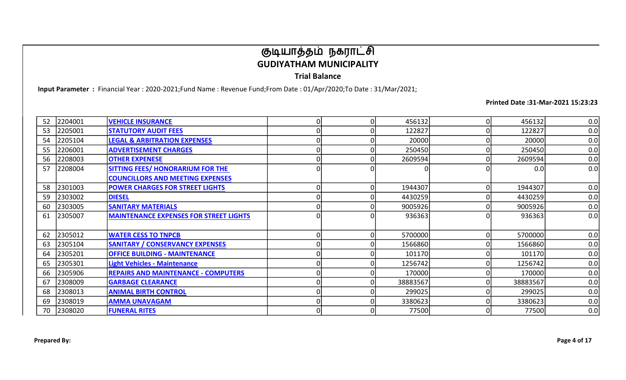Trial Balance

Input Parameter : Financial Year : 2020-2021;Fund Name : Revenue Fund;From Date : 01/Apr/2020;To Date : 31/Mar/2021;

| 52 | 2204001 | <b>VEHICLE INSURANCE</b>                      | 0        | 456132   | 0 | 456132   | 0.0 |
|----|---------|-----------------------------------------------|----------|----------|---|----------|-----|
| 53 | 2205001 | <b>STATUTORY AUDIT FEES</b>                   |          | 122827   |   | 122827   | 0.0 |
| 54 | 2205104 | <b>LEGAL &amp; ARBITRATION EXPENSES</b>       |          | 20000    |   | 20000    | 0.0 |
| 55 | 2206001 | <b>ADVERTISEMENT CHARGES</b>                  | O        | 250450   |   | 250450   | 0.0 |
| 56 | 2208003 | <b>OTHER EXPENESE</b>                         | O        | 2609594  | 0 | 2609594  | 0.0 |
| 57 | 2208004 | <b>SITTING FEES/ HONORARIUM FOR THE</b>       |          |          |   | 0.0      | 0.0 |
|    |         | <b>COUNCILLORS AND MEETING EXPENSES</b>       |          |          |   |          |     |
| 58 | 2301003 | <b>POWER CHARGES FOR STREET LIGHTS</b>        | $\Omega$ | 1944307  |   | 1944307  | 0.0 |
| 59 | 2303002 | <b>DIESEL</b>                                 |          | 4430259  |   | 4430259  | 0.0 |
| 60 | 2303005 | <b>SANITARY MATERIALS</b>                     |          | 9005926  |   | 9005926  | 0.0 |
| 61 | 2305007 | <b>MAINTENANCE EXPENSES FOR STREET LIGHTS</b> | 0        | 936363   |   | 936363   | 0.0 |
|    |         |                                               |          |          |   |          |     |
| 62 | 2305012 | <b>WATER CESS TO TNPCB</b>                    | $\Omega$ | 5700000  | 0 | 5700000  | 0.0 |
| 63 | 2305104 | <b>SANITARY / CONSERVANCY EXPENSES</b>        |          | 1566860  | 0 | 1566860  | 0.0 |
| 64 | 2305201 | <b>OFFICE BUILDING - MAINTENANCE</b>          |          | 101170   | 0 | 101170   | 0.0 |
| 65 | 2305301 | <b>Light Vehicles - Maintenance</b>           |          | 1256742  |   | 1256742  | 0.0 |
| 66 | 2305906 | <b>REPAIRS AND MAINTENANCE - COMPUTERS</b>    |          | 170000   |   | 170000   | 0.0 |
| 67 | 2308009 | <b>GARBAGE CLEARANCE</b>                      |          | 38883567 | 0 | 38883567 | 0.0 |
| 68 | 2308013 | <b>ANIMAL BIRTH CONTROL</b>                   | O        | 299025   | 0 | 299025   | 0.0 |
| 69 | 2308019 | <b>AMMA UNAVAGAM</b>                          |          | 3380623  |   | 3380623  | 0.0 |
| 70 | 2308020 | <b>FUNERAL RITES</b>                          | 0        | 77500    |   | 77500    | 0.0 |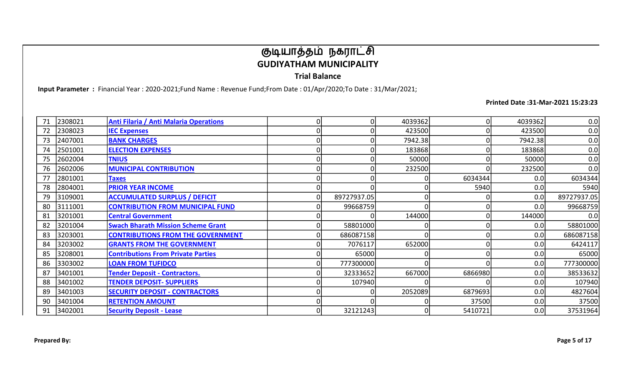Trial Balance

Input Parameter : Financial Year : 2020-2021;Fund Name : Revenue Fund;From Date : 01/Apr/2020;To Date : 31/Mar/2021;

| 71 | 2308021 | Anti Filaria / Anti Malaria Operations    |             | 4039362 | 0       | 4039362 | 0.0         |
|----|---------|-------------------------------------------|-------------|---------|---------|---------|-------------|
| 72 | 2308023 | <b>IEC Expenses</b>                       |             | 423500  |         | 423500  | 0.0         |
| 73 | 2407001 | <b>BANK CHARGES</b>                       |             | 7942.38 |         | 7942.38 | 0.0         |
| 74 | 2501001 | <b>ELECTION EXPENSES</b>                  |             | 183868  |         | 183868  | 0.0         |
| 75 | 2602004 | <b>TNIUS</b>                              |             | 50000   | 0       | 50000   | 0.0         |
| 76 | 2602006 | <b>MUNICIPAL CONTRIBUTION</b>             |             | 232500  | O       | 232500  | 0.0         |
| 77 | 2801001 | <b>Taxes</b>                              |             |         | 6034344 | 0.0     | 6034344     |
| 78 | 2804001 | <b>PRIOR YEAR INCOME</b>                  |             |         | 5940    | 0.0     | 5940        |
| 79 | 3109001 | <b>ACCUMULATED SURPLUS / DEFICIT</b>      | 89727937.05 |         |         | 0.0     | 89727937.05 |
| 80 | 3111001 | <b>CONTRIBUTION FROM MUNICIPAL FUND</b>   | 99668759    |         | O       | 0.0     | 99668759    |
| 81 | 3201001 | <b>Central Government</b>                 |             | 144000  |         | 144000  | 0.0         |
| 82 | 3201004 | <b>Swach Bharath Mission Scheme Grant</b> | 58801000    |         |         | 0.0     | 58801000    |
| 83 | 3203001 | <b>CONTRIBUTIONS FROM THE GOVERNMENT</b>  | 686087158   |         |         | 0.0     | 686087158   |
| 84 | 3203002 | <b>GRANTS FROM THE GOVERNMENT</b>         | 7076117     | 652000  | O       | 0.0     | 6424117     |
| 85 | 3208001 | <b>Contributions From Private Parties</b> | 65000       |         |         | 0.0     | 65000       |
| 86 | 3303002 | <b>LOAN FROM TUFIDCO</b>                  | 777300000   |         |         | 0.0     | 777300000   |
| 87 | 3401001 | <b>Tender Deposit - Contractors.</b>      | 32333652    | 667000  | 6866980 | 0.0     | 38533632    |
| 88 | 3401002 | <b>TENDER DEPOSIT- SUPPLIERS</b>          | 107940      |         |         | 0.0     | 107940      |
| 89 | 3401003 | <b>SECURITY DEPOSIT - CONTRACTORS</b>     |             | 2052089 | 6879693 | 0.0     | 4827604     |
| 90 | 3401004 | <b>RETENTION AMOUNT</b>                   |             |         | 37500   | 0.0     | 37500       |
| 91 | 3402001 | <b>Security Deposit - Lease</b>           | 32121243    |         | 5410721 | 0.0     | 37531964    |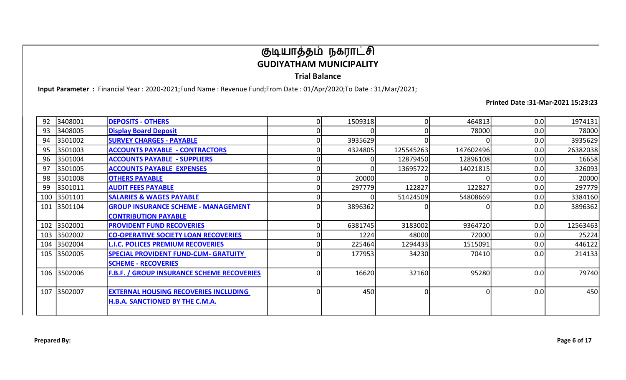Trial Balance

Input Parameter : Financial Year : 2020-2021;Fund Name : Revenue Fund;From Date : 01/Apr/2020;To Date : 31/Mar/2021;

| 92 | 3408001     | <b>DEPOSITS - OTHERS</b>                          | 1509318 |           | 464813    | 0.0 | 1974131  |
|----|-------------|---------------------------------------------------|---------|-----------|-----------|-----|----------|
| 93 | 3408005     | <b>Display Board Deposit</b>                      |         |           | 78000     | 0.0 | 78000    |
| 94 | 3501002     | <b>SURVEY CHARGES - PAYABLE</b>                   | 3935629 |           |           | 0.0 | 3935629  |
| 95 | 3501003     | <b>ACCOUNTS PAYABLE - CONTRACTORS</b>             | 4324805 | 125545263 | 147602496 | 0.0 | 26382038 |
| 96 | 3501004     | <b>ACCOUNTS PAYABLE - SUPPLIERS</b>               |         | 12879450  | 12896108  | 0.0 | 16658    |
| 97 | 3501005     | <b>ACCOUNTS PAYABLE EXPENSES</b>                  |         | 13695722  | 14021815  | 0.0 | 326093   |
| 98 | 3501008     | <b>OTHERS PAYABLE</b>                             | 20000   |           |           | 0.0 | 20000    |
| 99 | 3501011     | <b>AUDIT FEES PAYABLE</b>                         | 297779  | 122827    | 122827    | 0.0 | 297779   |
|    | 100 3501101 | <b>SALARIES &amp; WAGES PAYABLE</b>               |         | 51424509  | 54808669  | 0.0 | 3384160  |
|    | 101 3501104 | <b>GROUP INSURANCE SCHEME - MANAGEMENT</b>        | 3896362 |           |           | 0.0 | 3896362  |
|    |             | <b>CONTRIBUTION PAYABLE</b>                       |         |           |           |     |          |
|    | 102 3502001 | <b>PROVIDENT FUND RECOVERIES</b>                  | 6381745 | 3183002   | 9364720   | 0.0 | 12563463 |
|    | 103 3502002 | <b>CO-OPERATIVE SOCIETY LOAN RECOVERIES</b>       | 1224    | 48000     | 72000     | 0.0 | 25224    |
|    | 104 3502004 | <b>L.I.C. POLICES PREMIUM RECOVERIES</b>          | 225464  | 1294433   | 1515091   | 0.0 | 446122   |
|    | 105 3502005 | <b>SPECIAL PROVIDENT FUND-CUM- GRATUITY</b>       | 177953  | 34230     | 70410     | 0.0 | 214133   |
|    |             | <b>SCHEME - RECOVERIES</b>                        |         |           |           |     |          |
|    | 106 3502006 | <b>F.B.F. / GROUP INSURANCE SCHEME RECOVERIES</b> | 16620   | 32160     | 95280     | 0.0 | 79740    |
|    |             |                                                   |         |           |           |     |          |
|    | 107 3502007 | <b>EXTERNAL HOUSING RECOVERIES INCLUDING</b>      | 450     |           | O         | 0.0 | 450      |
|    |             | <b>H.B.A. SANCTIONED BY THE C.M.A.</b>            |         |           |           |     |          |
|    |             |                                                   |         |           |           |     |          |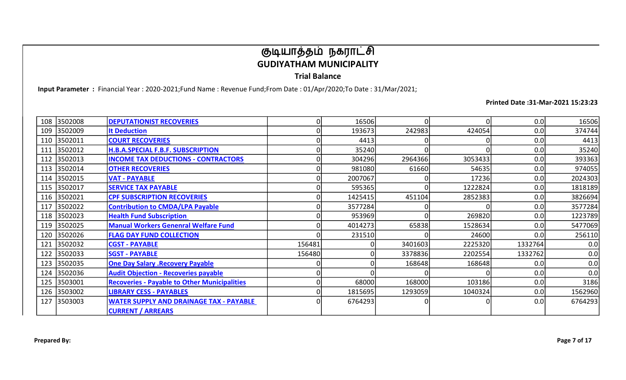Trial Balance

Input Parameter : Financial Year : 2020-2021;Fund Name : Revenue Fund;From Date : 01/Apr/2020;To Date : 31/Mar/2021;

| 108 | 3502008 | <b>DEPUTATIONIST RECOVERIES</b>                     |        | 16506   |         | 0       | 0.0     | 16506   |
|-----|---------|-----------------------------------------------------|--------|---------|---------|---------|---------|---------|
| 109 | 3502009 | <b>It Deduction</b>                                 |        | 193673  | 242983  | 424054  | 0.0     | 374744  |
| 110 | 3502011 | <b>COURT RECOVERIES</b>                             |        | 4413    |         |         | 0.0     | 4413    |
| 111 | 3502012 | <b>H.B.A.SPECIAL F.B.F. SUBSCRIPTION</b>            |        | 35240   |         |         | 0.0     | 35240   |
| 112 | 3502013 | <b>INCOME TAX DEDUCTIONS - CONTRACTORS</b>          |        | 304296  | 2964366 | 3053433 | 0.0     | 393363  |
| 113 | 3502014 | <b>OTHER RECOVERIES</b>                             |        | 981080  | 61660   | 54635   | 0.0     | 974055  |
| 114 | 3502015 | <b>VAT - PAYABLE</b>                                |        | 2007067 |         | 17236   | 0.0     | 2024303 |
| 115 | 3502017 | <b>SERVICE TAX PAYABLE</b>                          |        | 595365  |         | 1222824 | 0.0     | 1818189 |
| 116 | 3502021 | <b>CPF SUBSCRIPTION RECOVERIES</b>                  |        | 1425415 | 451104  | 2852383 | 0.0     | 3826694 |
| 117 | 3502022 | <b>Contribution to CMDA/LPA Payable</b>             |        | 3577284 |         |         | 0.0     | 3577284 |
| 118 | 3502023 | <b>Health Fund Subscription</b>                     |        | 953969  |         | 269820  | 0.0     | 1223789 |
| 119 | 3502025 | <b>Manual Workers Genenral Welfare Fund</b>         |        | 4014273 | 65838   | 1528634 | 0.0     | 5477069 |
| 120 | 3502026 | <b>FLAG DAY FUND COLLECTION</b>                     |        | 231510  |         | 24600   | 0.0     | 256110  |
| 121 | 3502032 | <b>CGST - PAYABLE</b>                               | 156481 |         | 3401603 | 2225320 | 1332764 | 0.0     |
| 122 | 3502033 | <b>SGST - PAYABLE</b>                               | 156480 |         | 3378836 | 2202554 | 1332762 | 0.0     |
| 123 | 3502035 | <b>One Day Salary .Recovery Payable</b>             |        |         | 168648  | 168648  | 0.0     | 0.0     |
| 124 | 3502036 | <b>Audit Objection - Recoveries payable</b>         |        |         |         |         | 0.0     | 0.0     |
| 125 | 3503001 | <b>Recoveries - Payable to Other Municipalities</b> |        | 68000   | 168000  | 103186  | 0.0     | 3186    |
| 126 | 3503002 | <b>LIBRARY CESS - PAYABLES</b>                      |        | 1815695 | 1293059 | 1040324 | 0.0     | 1562960 |
| 127 | 3503003 | <b>WATER SUPPLY AND DRAINAGE TAX - PAYABLE</b>      |        | 6764293 |         |         | 0.0     | 6764293 |
|     |         | <b>CURRENT / ARREARS</b>                            |        |         |         |         |         |         |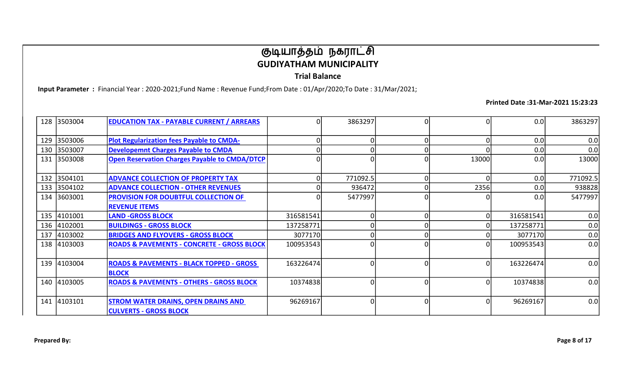Trial Balance

Input Parameter : Financial Year : 2020-2021;Fund Name : Revenue Fund;From Date : 01/Apr/2020;To Date : 31/Mar/2021;

Printed Date :31-Mar-2021 15:23:23

|     | 128 3503004 | <b>EDUCATION TAX - PAYABLE CURRENT / ARREARS</b>                            | $\Omega$  | 3863297  |   |          | 0.0       | 3863297  |
|-----|-------------|-----------------------------------------------------------------------------|-----------|----------|---|----------|-----------|----------|
|     | 129 3503006 | <b>Plot Regularization fees Payable to CMDA-</b>                            |           |          |   |          | 0.0       | 0.0      |
|     | 130 3503007 | <b>Developemnt Charges Payable to CMDA</b>                                  |           |          |   |          | 0.0       | 0.0      |
|     | 131 3503008 | <b>Open Reservation Charges Payable to CMDA/DTCP</b>                        | 0         |          | Ω | 13000    | 0.0       | 13000    |
|     | 132 3504101 | <b>ADVANCE COLLECTION OF PROPERTY TAX</b>                                   |           | 771092.5 |   |          | 0.0       | 771092.5 |
|     | 133 3504102 | <b>ADVANCE COLLECTION - OTHER REVENUES</b>                                  |           | 936472   |   | 2356     | 0.0       | 938828   |
| 134 | 3603001     | <b>PROVISION FOR DOUBTFUL COLLECTION OF</b><br><b>REVENUE ITEMS</b>         |           | 5477997  | ი |          | 0.0       | 5477997  |
|     | 135 4101001 | <b>LAND -GROSS BLOCK</b>                                                    | 316581541 |          |   | 0        | 316581541 | 0.0      |
|     | 136 4102001 | <b>BUILDINGS - GROSS BLOCK</b>                                              | 137258771 |          |   |          | 137258771 | 0.0      |
| 137 | 4103002     | <b>BRIDGES AND FLYOVERS - GROSS BLOCK</b>                                   | 3077170   |          |   |          | 3077170   | 0.0      |
|     | 138 4103003 | <b>ROADS &amp; PAVEMENTS - CONCRETE - GROSS BLOCK</b>                       | 100953543 |          |   | $\Omega$ | 100953543 | 0.0      |
|     | 139 4103004 | <b>ROADS &amp; PAVEMENTS - BLACK TOPPED - GROSS</b><br><b>BLOCK</b>         | 163226474 |          |   | $\Omega$ | 163226474 | 0.0      |
|     | 140 4103005 | <b>ROADS &amp; PAVEMENTS - OTHERS - GROSS BLOCK</b>                         | 10374838  |          | 0 | $\Omega$ | 10374838  | 0.0      |
|     | 141 4103101 | <b>STROM WATER DRAINS, OPEN DRAINS AND</b><br><b>CULVERTS - GROSS BLOCK</b> | 96269167  |          |   | 0        | 96269167  | 0.0      |

Prepared By: Page 8 of 17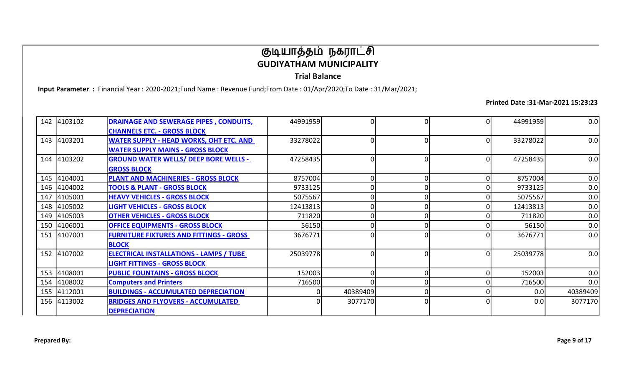Trial Balance

Input Parameter : Financial Year : 2020-2021;Fund Name : Revenue Fund;From Date : 01/Apr/2020;To Date : 31/Mar/2021;

|     | 142 4103102 | <b>DRAINAGE AND SEWERAGE PIPES, CONDUITS,</b>  | 44991959 |          |    | 44991959 | 0.0      |
|-----|-------------|------------------------------------------------|----------|----------|----|----------|----------|
|     |             | <b>CHANNELS ETC. - GROSS BLOCK</b>             |          |          |    |          |          |
|     | 143 4103201 | <b>WATER SUPPLY - HEAD WORKS, OHT ETC. AND</b> | 33278022 |          |    | 33278022 | 0.0      |
|     |             | <b>WATER SUPPLY MAINS - GROSS BLOCK</b>        |          |          |    |          |          |
|     | 144 4103202 | <b>GROUND WATER WELLS/ DEEP BORE WELLS -</b>   | 47258435 |          | ΟI | 47258435 | 0.0      |
|     |             | <b>GROSS BLOCK</b>                             |          |          |    |          |          |
|     | 145 4104001 | PLANT AND MACHINERIES - GROSS BLOCK            | 8757004  |          |    | 8757004  | 0.0      |
| 146 | 4104002     | <b>TOOLS &amp; PLANT - GROSS BLOCK</b>         | 9733125  |          |    | 9733125  | 0.0      |
| 147 | 4105001     | <b>HEAVY VEHICLES - GROSS BLOCK</b>            | 5075567  |          |    | 5075567  | 0.0      |
|     | 148 4105002 | <b>LIGHT VEHICLES - GROSS BLOCK</b>            | 12413813 |          |    | 12413813 | 0.0      |
| 149 | 4105003     | <b>OTHER VEHICLES - GROSS BLOCK</b>            | 711820   |          |    | 711820   | 0.0      |
|     | 150 4106001 | <b>OFFICE EQUIPMENTS - GROSS BLOCK</b>         | 56150    |          |    | 56150    | 0.0      |
| 151 | 4107001     | <b>FURNITURE FIXTURES AND FITTINGS - GROSS</b> | 3676771  |          |    | 3676771  | 0.0      |
|     |             | <b>BLOCK</b>                                   |          |          |    |          |          |
|     | 152 4107002 | <b>ELECTRICAL INSTALLATIONS - LAMPS / TUBE</b> | 25039778 |          |    | 25039778 | 0.0      |
|     |             | <b>LIGHT FITTINGS - GROSS BLOCK</b>            |          |          |    |          |          |
| 153 | 4108001     | <b>PUBLIC FOUNTAINS - GROSS BLOCK</b>          | 152003   |          |    | 152003   | 0.0      |
| 154 | 4108002     | <b>Computers and Printers</b>                  | 716500   |          |    | 716500   | 0.0      |
| 155 | 4112001     | <b>BUILDINGS - ACCUMULATED DEPRECIATION</b>    |          | 40389409 |    | 0.0      | 40389409 |
| 156 | 4113002     | <b>BRIDGES AND FLYOVERS - ACCUMULATED</b>      |          | 3077170  | 0  | 0.0      | 3077170  |
|     |             | <b>DEPRECIATION</b>                            |          |          |    |          |          |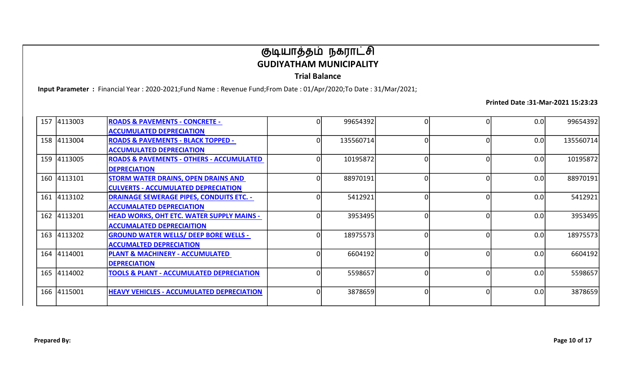Trial Balance

Input Parameter : Financial Year : 2020-2021;Fund Name : Revenue Fund;From Date : 01/Apr/2020;To Date : 31/Mar/2021;

| 157 4113003 | <b>ROADS &amp; PAVEMENTS - CONCRETE -</b>           | 99654392  | 0 | 0.0 | 99654392  |
|-------------|-----------------------------------------------------|-----------|---|-----|-----------|
|             | <b>ACCUMULATED DEPRECIATION</b>                     |           |   |     |           |
| 158 4113004 | <b>ROADS &amp; PAVEMENTS - BLACK TOPPED -</b>       | 135560714 |   | 0.0 | 135560714 |
|             | <b>ACCUMULATED DEPRECIATION</b>                     |           |   |     |           |
| 159 4113005 | <b>ROADS &amp; PAVEMENTS - OTHERS - ACCUMULATED</b> | 10195872  |   | 0.0 | 10195872  |
|             | <b>DEPRECIATION</b>                                 |           |   |     |           |
| 160 4113101 | <b>STORM WATER DRAINS, OPEN DRAINS AND</b>          | 88970191  | O | 0.0 | 88970191  |
|             | <b>CULVERTS - ACCUMULATED DEPRECIATION</b>          |           |   |     |           |
| 161 4113102 | <b>DRAINAGE SEWERAGE PIPES, CONDUITS ETC. -</b>     | 5412921   |   | 0.0 | 5412921   |
|             | <b>ACCUMALATED DEPRECIATION</b>                     |           |   |     |           |
| 162 4113201 | <b>HEAD WORKS, OHT ETC. WATER SUPPLY MAINS -</b>    | 3953495   |   | 0.0 | 3953495   |
|             | <b>ACCUMALATED DEPRECIAITION</b>                    |           |   |     |           |
| 163 4113202 | <b>GROUND WATER WELLS/ DEEP BORE WELLS -</b>        | 18975573  |   | 0.0 | 18975573  |
|             | <b>ACCUMALTED DEPRECIATION</b>                      |           |   |     |           |
| 164 4114001 | <b>PLANT &amp; MACHINERY - ACCUMULATED</b>          | 6604192   |   | 0.0 | 6604192   |
|             | <b>DEPRECIATION</b>                                 |           |   |     |           |
| 165 4114002 | <b>TOOLS &amp; PLANT - ACCUMULATED DEPRECIATION</b> | 5598657   |   | 0.0 | 5598657   |
|             |                                                     |           |   |     |           |
| 166 4115001 | <b>HEAVY VEHICLES - ACCUMULATED DEPRECIATION</b>    | 3878659   |   | 0.0 | 3878659   |
|             |                                                     |           |   |     |           |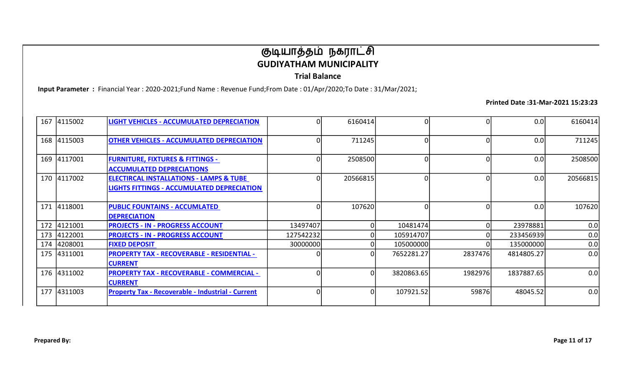Trial Balance

Input Parameter : Financial Year : 2020-2021;Fund Name : Revenue Fund;From Date : 01/Apr/2020;To Date : 31/Mar/2021;

| 167 4115002 | <b>LIGHT VEHICLES - ACCUMULATED DEPRECIATION</b>                                                        |           | 6160414  |            |         | 0.0        | 6160414  |
|-------------|---------------------------------------------------------------------------------------------------------|-----------|----------|------------|---------|------------|----------|
| 168 4115003 | <b>OTHER VEHICLES - ACCUMULATED DEPRECIATION</b>                                                        |           | 711245   |            |         | 0.0        | 711245   |
| 169 4117001 | <b>FURNITURE, FIXTURES &amp; FITTINGS -</b><br><b>ACCUMULATED DEPRECIATIONS</b>                         |           | 2508500  |            |         | 0.0        | 2508500  |
| 170 4117002 | <b>ELECTIRCAL INSTALLATIONS - LAMPS &amp; TUBE</b><br><b>LIGHTS FITTINGS - ACCUMULATED DEPRECIATION</b> | 0         | 20566815 |            | n       | 0.0        | 20566815 |
| 171 4118001 | <b>PUBLIC FOUNTAINS - ACCUMLATED</b><br><b>DEPRECIATION</b>                                             |           | 107620   |            |         | 0.0        | 107620   |
| 172 4121001 | <b>PROJECTS - IN - PROGRESS ACCOUNT</b>                                                                 | 13497407  |          | 10481474   |         | 23978881   | 0.0      |
| 173 4122001 | <b>PROJECTS - IN - PROGRESS ACCOUNT</b>                                                                 | 127542232 |          | 105914707  |         | 233456939  | 0.0      |
| 174 4208001 | <b>FIXED DEPOSIT</b>                                                                                    | 30000000  |          | 105000000  |         | 135000000  | 0.0      |
| 175 4311001 | <b>PROPERTY TAX - RECOVERABLE - RESIDENTIAL -</b><br><b>CURRENT</b>                                     |           |          | 7652281.27 | 2837476 | 4814805.27 | 0.0      |
| 176 4311002 | <b>PROPERTY TAX - RECOVERABLE - COMMERCIAL -</b><br><b>CURRENT</b>                                      |           |          | 3820863.65 | 1982976 | 1837887.65 | 0.0      |
| 177 4311003 | <b>Property Tax - Recoverable - Industrial - Current</b>                                                |           |          | 107921.52  | 59876   | 48045.52   | 0.0      |
|             |                                                                                                         |           |          |            |         |            |          |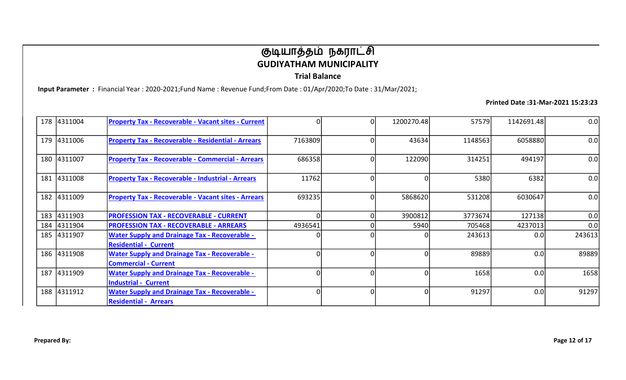Trial Balance

Input Parameter : Financial Year : 2020-2021;Fund Name : Revenue Fund;From Date : 01/Apr/2020;To Date : 31/Mar/2021;

| 178 4311004 | <b>Property Tax - Recoverable - Vacant sites - Current</b>                           |          | 1200270.48 | 57579   | 1142691.48 | 0.0    |
|-------------|--------------------------------------------------------------------------------------|----------|------------|---------|------------|--------|
| 179 4311006 | <b>Property Tax - Recoverable - Residential - Arrears</b>                            | 7163809  | 43634      | 1148563 | 6058880    | 0.0    |
| 180 4311007 | <b>Property Tax - Recoverable - Commercial - Arrears</b>                             | 686358   | 122090     | 314251  | 494197     | 0.0    |
| 181 4311008 | <b>Property Tax - Recoverable - Industrial - Arrears</b>                             | 11762    |            | 5380    | 6382       | 0.0    |
| 182 4311009 | <b>Property Tax - Recoverable - Vacant sites - Arrears</b>                           | 693235   | 5868620    | 531208  | 6030647    | 0.0    |
| 183 4311903 | <b>PROFESSION TAX - RECOVERABLE - CURRENT</b>                                        |          | 3900812    | 3773674 | 127138     | 0.0    |
| 184 4311904 | <b>PROFESSION TAX - RECOVERABLE - ARREARS</b>                                        | 4936541  | 5940       | 705468  | 4237013    | 0.0    |
| 185 4311907 | <b>Water Supply and Drainage Tax - Recoverable -</b><br><b>Residential - Current</b> |          |            | 243613  | 0.0        | 243613 |
| 186 4311908 | <b>Water Supply and Drainage Tax - Recoverable -</b><br><b>Commercial - Current</b>  |          |            | 89889   | 0.0        | 89889  |
| 187 4311909 | <b>Water Supply and Drainage Tax - Recoverable -</b><br><b>Industrial - Current</b>  | 0        |            | 1658    | 0.0        | 1658   |
| 188 4311912 | <b>Water Supply and Drainage Tax - Recoverable -</b><br><b>Residential - Arrears</b> | $\Omega$ |            | 91297   | 0.0        | 91297  |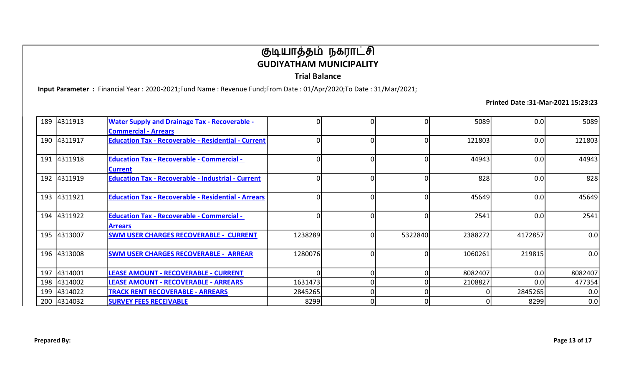Trial Balance

Input Parameter : Financial Year : 2020-2021;Fund Name : Revenue Fund;From Date : 01/Apr/2020;To Date : 31/Mar/2021;

| 189 4311913 | <b>Water Supply and Drainage Tax - Recoverable -</b><br><b>Commercial - Arrears</b> |          |         | 5089    | 0.0              | 5089    |
|-------------|-------------------------------------------------------------------------------------|----------|---------|---------|------------------|---------|
| 190 4311917 | <b>Education Tax - Recoverable - Residential - Current</b>                          |          |         | 121803  | 0.0 <sub>l</sub> | 121803  |
| 191 4311918 | <b>Education Tax - Recoverable - Commercial -</b><br><b>Current</b>                 |          |         | 44943   | 0.0              | 44943   |
| 192 4311919 | <b>Education Tax - Recoverable - Industrial - Current</b>                           | $\Omega$ |         | 828     | 0.0              | 828     |
| 193 4311921 | <b>Education Tax - Recoverable - Residential - Arrears</b>                          |          |         | 45649   | 0.0 <sub>l</sub> | 45649   |
| 194 4311922 | <b>Education Tax - Recoverable - Commercial -</b><br><b>Arrears</b>                 |          |         | 2541    | 0.0              | 2541    |
| 195 4313007 | <b>SWM USER CHARGES RECOVERABLE - CURRENT</b>                                       | 1238289  | 5322840 | 2388272 | 4172857          | 0.0     |
| 196 4313008 | <b>SWM USER CHARGES RECOVERABLE - ARREAR</b>                                        | 1280076  |         | 1060261 | 219815           | 0.0     |
| 197 4314001 | LEASE AMOUNT - RECOVERABLE - CURRENT                                                |          |         | 8082407 | 0.0              | 8082407 |
| 198 4314002 | <b>LEASE AMOUNT - RECOVERABLE - ARREARS</b>                                         | 1631473  |         | 2108827 | 0.0              | 477354  |
| 199 4314022 | <b>TRACK RENT RECOVERABLE - ARREARS</b>                                             | 2845265  |         |         | 2845265          | 0.0     |
| 200 4314032 | <b>SURVEY FEES RECEIVABLE</b>                                                       | 8299     | o       |         | 8299             | 0.0     |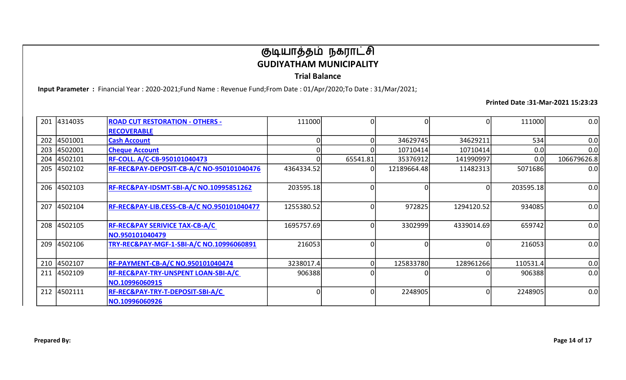Trial Balance

Input Parameter : Financial Year : 2020-2021;Fund Name : Revenue Fund;From Date : 01/Apr/2020;To Date : 31/Mar/2021;

|     | 201 4314035 | <b>ROAD CUT RESTORATION - OTHERS -</b>         | 111000     |          |             | 0          | 111000    | 0.0         |
|-----|-------------|------------------------------------------------|------------|----------|-------------|------------|-----------|-------------|
|     |             | <b>RECOVERABLE</b>                             |            |          |             |            |           |             |
|     | 202 4501001 | <b>Cash Account</b>                            |            |          | 34629745    | 34629211   | 534       | 0.0         |
| 203 | 4502001     | <b>Cheque Account</b>                          |            |          | 10710414    | 10710414   | 0.0       | 0.0         |
| 204 | 4502101     | <b>RF-COLL. A/C-CB-950101040473</b>            |            | 65541.81 | 35376912    | 141990997  | 0.0       | 106679626.8 |
|     | 205 4502102 | RF-REC&PAY-DEPOSIT-CB-A/C NO-950101040476      | 4364334.52 |          | 12189664.48 | 11482313   | 5071686   | 0.0         |
|     | 206 4502103 | RF-REC&PAY-IDSMT-SBI-A/C NO.10995851262        | 203595.18  |          |             |            | 203595.18 | 0.0         |
|     |             |                                                |            |          |             |            |           |             |
|     | 207 4502104 | RF-REC&PAY-LIB.CESS-CB-A/C NO.950101040477     | 1255380.52 |          | 972825      | 1294120.52 | 934085    | 0.0         |
|     |             |                                                |            |          |             |            |           |             |
|     | 208 4502105 | <b>RF-REC&amp;PAY SERIVICE TAX-CB-A/C</b>      | 1695757.69 |          | 3302999     | 4339014.69 | 659742    | 0.0         |
|     |             | NO.950101040479                                |            |          |             |            |           |             |
|     | 209 4502106 | TRY-REC&PAY-MGF-1-SBI-A/C NO.10996060891       | 216053     |          |             |            | 216053    | 0.0         |
|     |             |                                                |            |          |             |            |           |             |
|     | 210 4502107 | <b>RF-PAYMENT-CB-A/C NO.950101040474</b>       | 3238017.4  |          | 125833780   | 128961266  | 110531.4  | 0.0         |
|     | 211 4502109 | <b>RF-REC&amp;PAY-TRY-UNSPENT LOAN-SBI-A/C</b> | 906388     |          |             |            | 906388    | 0.0         |
|     |             | NO.10996060915                                 |            |          |             |            |           |             |
|     | 212 4502111 | RF-REC&PAY-TRY-T-DEPOSIT-SBI-A/C               |            |          | 2248905     |            | 2248905   | 0.0         |
|     |             | NO.10996060926                                 |            |          |             |            |           |             |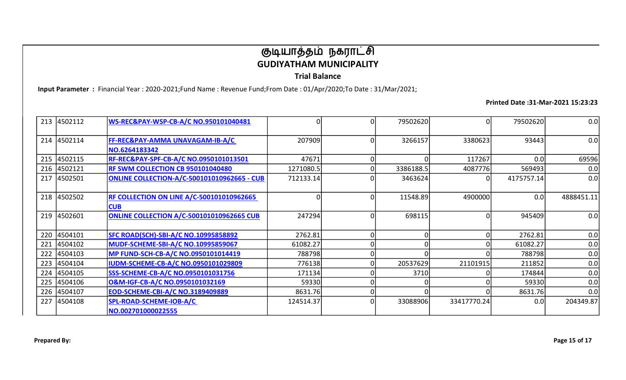Trial Balance

Input Parameter : Financial Year : 2020-2021;Fund Name : Revenue Fund;From Date : 01/Apr/2020;To Date : 31/Mar/2021;

|     | 213 4502112 | WS-REC&PAY-WSP-CB-A/C NO.950101040481                          | 0         | 79502620  | 0           | 79502620   | 0.0        |
|-----|-------------|----------------------------------------------------------------|-----------|-----------|-------------|------------|------------|
|     | 214 4502114 | FF-REC&PAY-AMMA UNAVAGAM-IB-A/C<br>NO.6264183342               | 207909    | 3266157   | 3380623     | 93443      | 0.0        |
|     | 215 4502115 | RF-REC&PAY-SPF-CB-A/C NO.0950101013501                         | 47671     |           | 117267      | 0.0        | 69596      |
|     | 216 4502121 | RF SWM COLLECTION CB 950101040480                              | 1271080.5 | 3386188.5 | 4087776     | 569493     | 0.0        |
|     | 217 4502501 | <b>ONLINE COLLECTION-A/C-500101010962665 - CUB</b>             | 712133.14 | 3463624   |             | 4175757.14 | 0.0        |
|     | 218 4502502 | <b>RF COLLECTION ON LINE A/C-500101010962665</b><br><b>CUB</b> | 0         | 11548.89  | 4900000     | 0.0        | 4888451.11 |
|     | 219 4502601 | ONLINE COLLECTION A/C-500101010962665 CUB                      | 247294    | 698115    |             | 945409     | 0.0        |
|     | 220 4504101 | SFC ROAD(SCH)-SBI-A/C NO.10995858892                           | 2762.81   |           |             | 2762.81    | 0.0        |
| 221 | 4504102     | MUDF-SCHEME-SBI-A/C NO.10995859067                             | 61082.27  |           |             | 61082.27   | 0.0        |
| 222 | 4504103     | MP FUND-SCH-CB-A/C NO.0950101014419                            | 788798    |           |             | 788798     | 0.0        |
| 223 | 4504104     | <b>IUDM-SCHEME-CB-A/C NO.0950101029809</b>                     | 776138    | 20537629  | 21101915    | 211852     | 0.0        |
| 224 | 4504105     | <b>SSS-SCHEME-CB-A/C NO.0950101031756</b>                      | 171134    | 3710      |             | 174844     | 0.0        |
| 225 | 4504106     | O&M-IGF-CB-A/C NO.0950101032169                                | 59330     |           |             | 59330      | 0.0        |
|     | 226 4504107 | EOD-SCHEME-CBI-A/C NO.3189409889                               | 8631.76   |           |             | 8631.76    | 0.0        |
| 227 | 4504108     | SPL-ROAD-SCHEME-IOB-A/C<br>NO.002701000022555                  | 124514.37 | 33088906  | 33417770.24 | 0.0        | 204349.87  |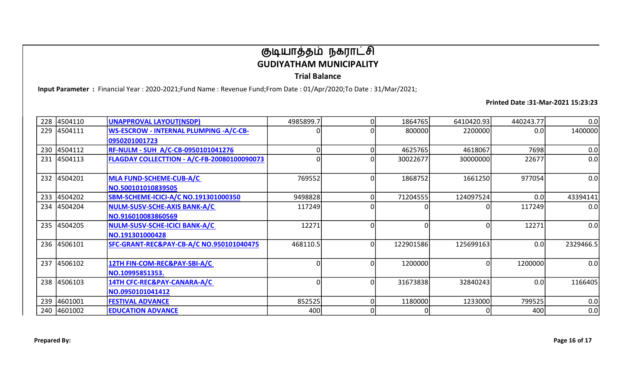Trial Balance

Input Parameter : Financial Year : 2020-2021;Fund Name : Revenue Fund;From Date : 01/Apr/2020;To Date : 31/Mar/2021;

|     | 228 4504110 | UNAPPROVAL LAYOUT(NSDP)                             | 4985899.7 | 1864765   | 6410420.93 | 440243.77        | 0.0       |
|-----|-------------|-----------------------------------------------------|-----------|-----------|------------|------------------|-----------|
| 229 | 4504111     | <b>WS-ESCROW - INTERNAL PLUMPING -A/C-CB-</b>       |           | 800000    | 2200000    | 0.0 <sub>l</sub> | 1400000   |
|     |             | 0950201001723                                       |           |           |            |                  |           |
|     | 230 4504112 | <b>RF-NULM - SUH A/C-CB-0950101041276</b>           | O         | 4625765   | 4618067    | 7698             | 0.0       |
|     | 231 4504113 | FLAGDAY COLLECTTION - A/C-FB-20080100090073         |           | 30022677  | 30000000   | 22677            | 0.0       |
|     |             |                                                     |           |           |            |                  |           |
|     | 232 4504201 | MLA FUND-SCHEME-CUB-A/C                             | 769552    | 1868752   | 1661250    | 977054           | 0.0       |
|     |             | NO.500101010839505                                  |           |           |            |                  |           |
|     | 233 4504202 | <b>SBM-SCHEME-ICICI-A/C NO.191301000350</b>         | 9498828   | 71204555  | 124097524  | 0.0              | 43394141  |
| 234 | 4504204     | NULM-SUSV-SCHE-AXIS BANK-A/C                        | 117249    |           |            | 117249           | 0.0       |
|     |             | NO.916010083860569                                  |           |           |            |                  |           |
|     | 235 4504205 | NULM-SUSV-SCHE-ICICI BANK-A/C                       | 12271     |           |            | 12271            | 0.0       |
|     |             | NO.191301000428                                     |           |           |            |                  |           |
|     | 236 4506101 | <b>SFC-GRANT-REC&amp;PAY-CB-A/C NO.950101040475</b> | 468110.5  | 122901586 | 125699163  | 0.0              | 2329466.5 |
|     |             |                                                     |           |           |            |                  |           |
|     | 237 4506102 | 12TH FIN-COM-REC&PAY-SBI-A/C                        |           | 1200000   |            | 1200000          | 0.0       |
|     |             | NO.10995851353.                                     |           |           |            |                  |           |
|     | 238 4506103 | 14TH CFC-REC&PAY-CANARA-A/C                         | $\Omega$  | 31673838  | 32840243   | 0.0              | 1166405   |
|     |             | NO.0950101041412                                    |           |           |            |                  |           |
|     | 239 4601001 | <b>FESTIVAL ADVANCE</b>                             | 852525    | 1180000   | 1233000    | 799525           | 0.0       |
|     | 240 4601002 | <b>EDUCATION ADVANCE</b>                            | 400       |           |            | 400              | 0.0       |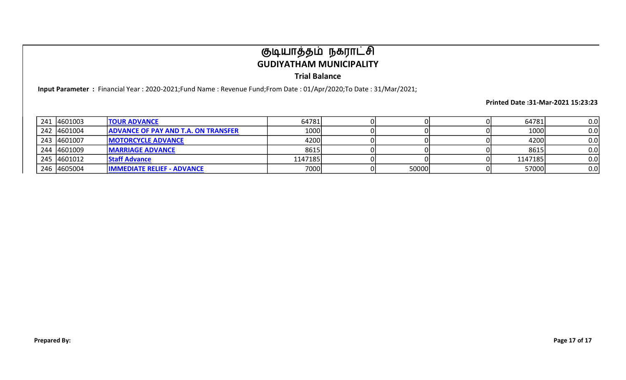Trial Balance

Input Parameter : Financial Year : 2020-2021;Fund Name : Revenue Fund;From Date : 01/Apr/2020;To Date : 31/Mar/2021;

| 241 4601003 | <b>TOUR ADVANCE</b>                        | 64781   |       | 64781   | 0.0 |
|-------------|--------------------------------------------|---------|-------|---------|-----|
| 242 4601004 | <b>ADVANCE OF PAY AND T.A. ON TRANSFER</b> | 1000    |       | 1000    | 0.0 |
| 243 4601007 | <b>IMOTORCYCLE ADVANCE</b>                 | 4200    |       | 4200    | 0.0 |
| 244 4601009 | <b>IMARRIAGE ADVANCE</b>                   | 8615    |       | 8615    | 0.0 |
| 245 4601012 | <b>Staff Advance</b>                       | 1147185 |       | 1147185 | 0.0 |
| 246 4605004 | <b>IMMEDIATE RELIEF - ADVANCE</b>          | 7000    | 50000 | 57000   | 0.0 |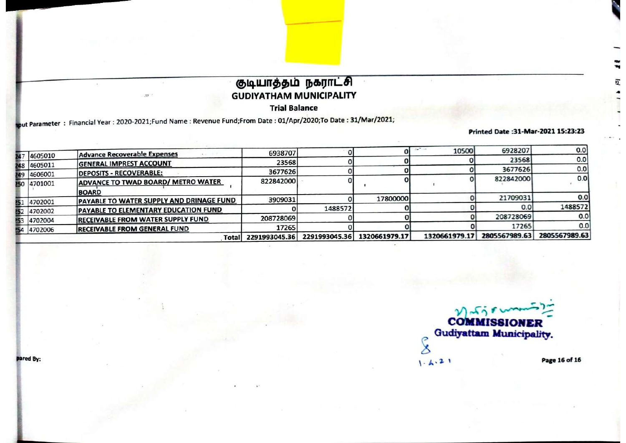**Trial Balance** 

aput Parameter: Financial Year: 2020-2021;Fund Name: Revenue Fund;From Date: 01/Apr/2020;To Date: 31/Mar/2021;

 $25^\circ$ 

Printed Date:31-Mar-2021 15:23:23

豇

|    | 151 4702001 | PAYABLE TO WATER SUPPLY AND DRINAGE FUND      | 3909031                |               | 17800000      |               | 21709031               | 0.0           |
|----|-------------|-----------------------------------------------|------------------------|---------------|---------------|---------------|------------------------|---------------|
|    | 52 4702002  | <b>PAYABLE TO ELEMENTARY EDUCATION FUND</b>   |                        | 1488572       |               |               | 0.0                    | 1488572       |
| 53 | 4702004     | <b>RECEIVABLE FROM WATER SUPPLY FUND</b>      | 208728069              |               |               |               | 208728069              | 0.0<br>0.0    |
|    | 54 4702006  | <b>RECEIVABLE FROM GENERAL FUND</b><br>Totall | 17265<br>2291993045.36 | 2291993045.36 | 1320661979.17 | 1320661979.17 | 17265<br>2805567989.63 | 2805567989.63 |

**COMMISSIONER Gudiyattam Municipality.**  $\tilde{\mathcal{S}}$ Page 16 of 16  $1.4.21$ 

pared By: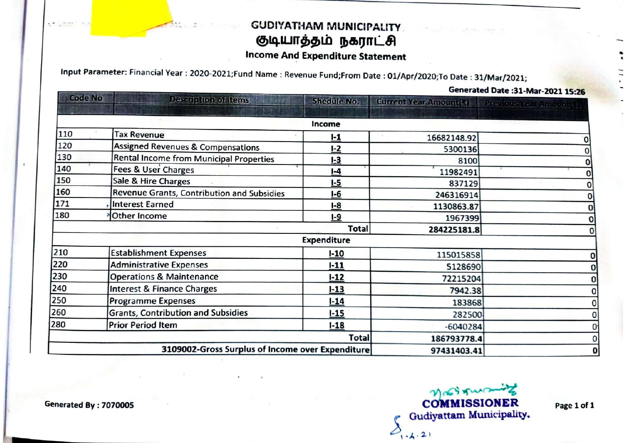### **GUDIYATHAM MUNICIPALITY** குடியாத்தம் நகராட்சி

### **Income And Expenditure Statement**

Input Parameter: Financial Year: 2020-2021;Fund Name: Revenue Fund;From Date: 01/Apr/2020;To Date: 31/Mar/2021;

Generated Date : 31-Mar-2021 15:26

| <b>Code No</b> | Description of items                             | <b>Shedule No.</b> | <b>Current Year Amount(3)</b> | <b>Previous Year Amount(R)</b> |
|----------------|--------------------------------------------------|--------------------|-------------------------------|--------------------------------|
|                |                                                  | Income             |                               |                                |
| 110            | <b>Tax Revenue</b>                               | $1-1$              | 16682148.92                   |                                |
| 120            | <b>Assigned Revenues &amp; Compensations</b>     | $I - 2$            | 5300136                       |                                |
| 130            | <b>Rental Income from Municipal Properties</b>   | $1-3$              | 8100                          |                                |
| 140            | <b>Fees &amp; User Charges</b>                   | $I-4$              | 11982491                      |                                |
| 150            | Sale & Hire Charges                              | $1-5$              | 837129                        |                                |
| 160            | Revenue Grants, Contribution and Subsidies       | $I-6$              | 246316914                     |                                |
| 171            | <b>Interest Earned</b>                           | $I-8$              | 1130863.87                    |                                |
| 180            | Other Income                                     | $I-9$              | 1967399                       |                                |
|                |                                                  | <b>Total</b>       | 284225181.8                   |                                |
|                |                                                  | <b>Expenditure</b> |                               |                                |
| 210            | <b>Establishment Expenses</b>                    | $1 - 10$           | 115015858                     | 0                              |
| 220            | <b>Administrative Expenses</b>                   | $1 - 11$           | 5128690                       | 0                              |
| 230            | <b>Operations &amp; Maintenance</b>              | $1 - 12$           | 72215204                      | 0                              |
| 240            | <b>Interest &amp; Finance Charges</b>            | $1 - 13$           | 7942.38                       | 0                              |
| 250            | <b>Programme Expenses</b>                        | $1 - 14$           | 183868                        |                                |
| 260            | <b>Grants, Contribution and Subsidies</b>        | $1 - 15$           | 282500                        |                                |
| 280            | <b>Prior Period Item</b>                         | $1 - 18$           | $-6040284$                    |                                |
|                |                                                  | <b>Total</b>       | 186793778.4                   |                                |
|                | 3109002-Gross Surplus of Income over Expenditure |                    | 97431403.41                   |                                |

Mrstrus **COMMISSIONER Gudiyattam Municipality.**  $O_{1-h(2)}$ 

Page 1 of 1

Generated By: 7070005

 $-20.84.1$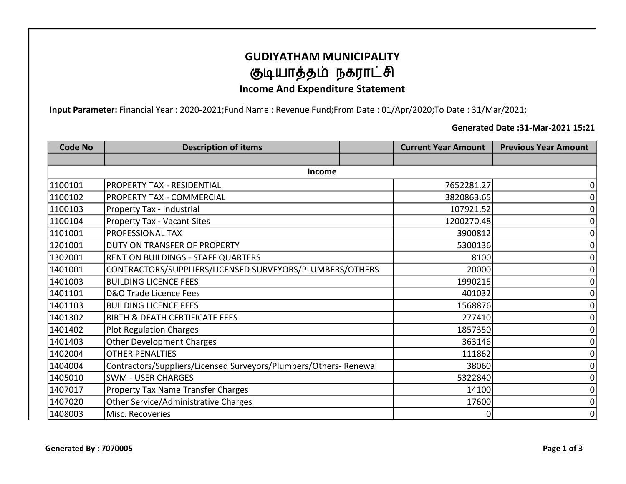### GUDIYATHAM MUNICIPALITY குடியாத்தம் நகராட்சி

#### Income And Expenditure Statement

Input Parameter: Financial Year : 2020-2021;Fund Name : Revenue Fund;From Date : 01/Apr/2020;To Date : 31/Mar/2021;

#### Generated Date :31-Mar-2021 15:21

| <b>Code No</b> | <b>Description of items</b>                                      | <b>Current Year Amount</b> | <b>Previous Year Amount</b> |
|----------------|------------------------------------------------------------------|----------------------------|-----------------------------|
|                |                                                                  |                            |                             |
|                | <b>Income</b>                                                    |                            |                             |
| 1100101        | <b>PROPERTY TAX - RESIDENTIAL</b>                                | 7652281.27                 | ი                           |
| 1100102        | <b>PROPERTY TAX - COMMERCIAL</b>                                 | 3820863.65                 |                             |
| 1100103        | Property Tax - Industrial                                        | 107921.52                  | 0                           |
| 1100104        | <b>Property Tax - Vacant Sites</b>                               | 1200270.48                 | 0                           |
| 1101001        | <b>PROFESSIONAL TAX</b>                                          | 3900812                    | 0                           |
| 1201001        | DUTY ON TRANSFER OF PROPERTY                                     | 5300136                    | ი                           |
| 1302001        | RENT ON BUILDINGS - STAFF QUARTERS                               | 8100                       | 0                           |
| 1401001        | CONTRACTORS/SUPPLIERS/LICENSED SURVEYORS/PLUMBERS/OTHERS         | 20000                      | ი                           |
| 1401003        | <b>BUILDING LICENCE FEES</b>                                     | 1990215                    | 0                           |
| 1401101        | D&O Trade Licence Fees                                           | 401032                     | 0                           |
| 1401103        | <b>BUILDING LICENCE FEES</b>                                     | 1568876                    | 0                           |
| 1401302        | <b>BIRTH &amp; DEATH CERTIFICATE FEES</b>                        | 277410                     | 0                           |
| 1401402        | <b>Plot Regulation Charges</b>                                   | 1857350                    |                             |
| 1401403        | <b>Other Development Charges</b>                                 | 363146                     | 0                           |
| 1402004        | <b>OTHER PENALTIES</b>                                           | 111862                     | 0                           |
| 1404004        | Contractors/Suppliers/Licensed Surveyors/Plumbers/Others-Renewal | 38060                      | 0                           |
| 1405010        | <b>SWM - USER CHARGES</b>                                        | 5322840                    | 0                           |
| 1407017        | <b>Property Tax Name Transfer Charges</b>                        | 14100                      | 0                           |
| 1407020        | Other Service/Administrative Charges                             | 17600                      | 0                           |
| 1408003        | Misc. Recoveries                                                 | 0                          | 0                           |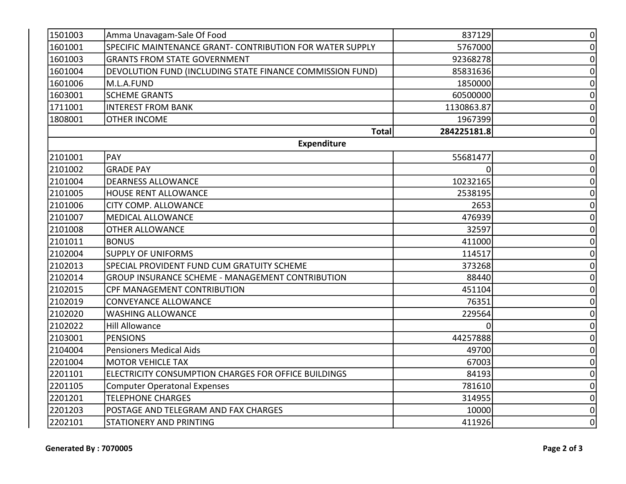| 1501003 | Amma Unavagam-Sale Of Food                                | 837129      | $\mathbf 0$    |
|---------|-----------------------------------------------------------|-------------|----------------|
| 1601001 | SPECIFIC MAINTENANCE GRANT- CONTRIBUTION FOR WATER SUPPLY | 5767000     | 0              |
| 1601003 | <b>GRANTS FROM STATE GOVERNMENT</b>                       | 92368278    | 0              |
| 1601004 | DEVOLUTION FUND (INCLUDING STATE FINANCE COMMISSION FUND) | 85831636    | $\Omega$       |
| 1601006 | M.L.A.FUND                                                | 1850000     | $\mathbf 0$    |
| 1603001 | <b>SCHEME GRANTS</b>                                      | 60500000    | $\Omega$       |
| 1711001 | <b>INTEREST FROM BANK</b>                                 | 1130863.87  | 0              |
| 1808001 | <b>OTHER INCOME</b>                                       | 1967399     | $\overline{0}$ |
|         | <b>Total</b>                                              | 284225181.8 | 0              |
|         | <b>Expenditure</b>                                        |             |                |
| 2101001 | PAY                                                       | 55681477    | 0              |
| 2101002 | <b>GRADE PAY</b>                                          | $\Omega$    | $\mathbf 0$    |
| 2101004 | <b>DEARNESS ALLOWANCE</b>                                 | 10232165    | 0              |
| 2101005 | <b>HOUSE RENT ALLOWANCE</b>                               | 2538195     | $\mathbf 0$    |
| 2101006 | CITY COMP. ALLOWANCE                                      | 2653        | $\overline{0}$ |
| 2101007 | <b>MEDICAL ALLOWANCE</b>                                  | 476939      | $\mathbf 0$    |
| 2101008 | <b>OTHER ALLOWANCE</b>                                    | 32597       | 0              |
| 2101011 | <b>BONUS</b>                                              | 411000      | 0              |
| 2102004 | <b>SUPPLY OF UNIFORMS</b>                                 | 114517      | 0              |
| 2102013 | SPECIAL PROVIDENT FUND CUM GRATUITY SCHEME                | 373268      | 0              |
| 2102014 | GROUP INSURANCE SCHEME - MANAGEMENT CONTRIBUTION          | 88440       | 0              |
| 2102015 | CPF MANAGEMENT CONTRIBUTION                               | 451104      | 0              |
| 2102019 | <b>CONVEYANCE ALLOWANCE</b>                               | 76351       | $\Omega$       |
| 2102020 | <b>WASHING ALLOWANCE</b>                                  | 229564      | $\mathbf 0$    |
| 2102022 | <b>Hill Allowance</b>                                     |             | $\Omega$       |
| 2103001 | <b>PENSIONS</b>                                           | 44257888    | 0              |
| 2104004 | <b>Pensioners Medical Aids</b>                            | 49700       | 0              |
| 2201004 | <b>MOTOR VEHICLE TAX</b>                                  | 67003       | $\mathbf 0$    |
| 2201101 | ELECTRICITY CONSUMPTION CHARGES FOR OFFICE BUILDINGS      | 84193       | $\Omega$       |
| 2201105 | <b>Computer Operatonal Expenses</b>                       | 781610      | $\mathbf 0$    |
| 2201201 | <b>TELEPHONE CHARGES</b>                                  | 314955      | $\mathbf 0$    |
| 2201203 | POSTAGE AND TELEGRAM AND FAX CHARGES                      | 10000       | $\mathbf 0$    |
| 2202101 | <b>STATIONERY AND PRINTING</b>                            | 411926      | $\mathbf 0$    |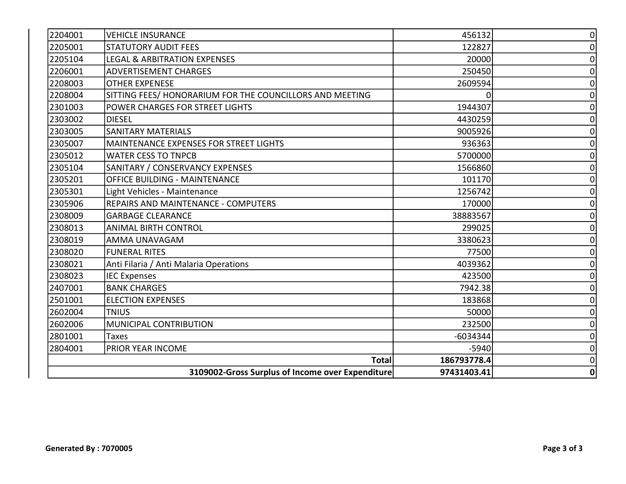| 2204001 | <b>VEHICLE INSURANCE</b>                                 | 456132      | 0 |
|---------|----------------------------------------------------------|-------------|---|
| 2205001 | <b>STATUTORY AUDIT FEES</b>                              | 122827      | 0 |
| 2205104 | <b>LEGAL &amp; ARBITRATION EXPENSES</b>                  | 20000       | 0 |
| 2206001 | <b>ADVERTISEMENT CHARGES</b>                             | 250450      | 0 |
| 2208003 | <b>OTHER EXPENESE</b>                                    | 2609594     | 0 |
| 2208004 | SITTING FEES/ HONORARIUM FOR THE COUNCILLORS AND MEETING | 0           | O |
| 2301003 | POWER CHARGES FOR STREET LIGHTS                          | 1944307     |   |
| 2303002 | <b>DIESEL</b>                                            | 4430259     | O |
| 2303005 | <b>SANITARY MATERIALS</b>                                | 9005926     | 0 |
| 2305007 | <b>MAINTENANCE EXPENSES FOR STREET LIGHTS</b>            | 936363      | 0 |
| 2305012 | <b>WATER CESS TO TNPCB</b>                               | 5700000     | 0 |
| 2305104 | SANITARY / CONSERVANCY EXPENSES                          | 1566860     | 0 |
| 2305201 | <b>OFFICE BUILDING - MAINTENANCE</b>                     | 101170      | O |
| 2305301 | Light Vehicles - Maintenance                             | 1256742     |   |
| 2305906 | <b>REPAIRS AND MAINTENANCE - COMPUTERS</b>               | 170000      | n |
| 2308009 | <b>GARBAGE CLEARANCE</b>                                 | 38883567    | 0 |
| 2308013 | <b>ANIMAL BIRTH CONTROL</b>                              | 299025      | 0 |
| 2308019 | AMMA UNAVAGAM                                            | 3380623     | 0 |
| 2308020 | <b>FUNERAL RITES</b>                                     | 77500       | 0 |
| 2308021 | Anti Filaria / Anti Malaria Operations                   | 4039362     | O |
| 2308023 | <b>IEC Expenses</b>                                      | 423500      | O |
| 2407001 | <b>BANK CHARGES</b>                                      | 7942.38     | O |
| 2501001 | <b>ELECTION EXPENSES</b>                                 | 183868      | 0 |
| 2602004 | <b>TNIUS</b>                                             | 50000       | 0 |
| 2602006 | MUNICIPAL CONTRIBUTION                                   | 232500      | 0 |
| 2801001 | <b>Taxes</b>                                             | $-6034344$  | 0 |
| 2804001 | PRIOR YEAR INCOME                                        | $-5940$     | 0 |
|         | <b>Total</b>                                             | 186793778.4 | 0 |
|         | 3109002-Gross Surplus of Income over Expenditure         | 97431403.41 | 0 |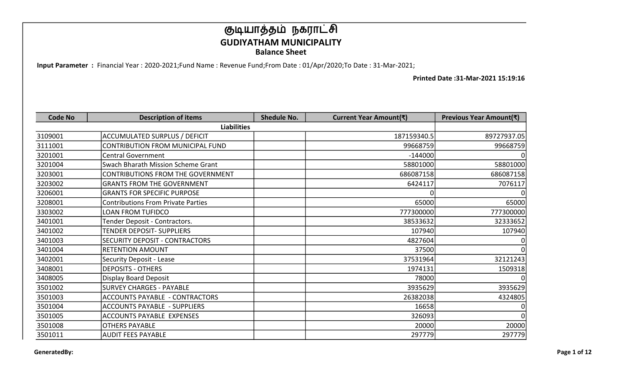Input Parameter : Financial Year : 2020-2021;Fund Name : Revenue Fund;From Date : 01/Apr/2020;To Date : 31-Mar-2021;

| <b>Code No</b> | <b>Description of items</b>               | <b>Shedule No.</b> | Current Year Amount(₹) | Previous Year Amount(₹) |
|----------------|-------------------------------------------|--------------------|------------------------|-------------------------|
|                | <b>Liabilities</b>                        |                    |                        |                         |
| 3109001        | ACCUMULATED SURPLUS / DEFICIT             |                    | 187159340.5            | 89727937.05             |
| 3111001        | CONTRIBUTION FROM MUNICIPAL FUND          |                    | 99668759               | 99668759                |
| 3201001        | <b>Central Government</b>                 |                    | $-144000$              | $\mathbf{0}$            |
| 3201004        | Swach Bharath Mission Scheme Grant        |                    | 58801000               | 58801000                |
| 3203001        | CONTRIBUTIONS FROM THE GOVERNMENT         |                    | 686087158              | 686087158               |
| 3203002        | <b>GRANTS FROM THE GOVERNMENT</b>         |                    | 6424117                | 7076117                 |
| 3206001        | <b>GRANTS FOR SPECIFIC PURPOSE</b>        |                    |                        | $\mathbf{0}$            |
| 3208001        | <b>Contributions From Private Parties</b> |                    | 65000                  | 65000                   |
| 3303002        | LOAN FROM TUFIDCO                         |                    | 777300000              | 777300000               |
| 3401001        | Tender Deposit - Contractors.             |                    | 38533632               | 32333652                |
| 3401002        | TENDER DEPOSIT- SUPPLIERS                 |                    | 107940                 | 107940                  |
| 3401003        | SECURITY DEPOSIT - CONTRACTORS            |                    | 4827604                | 0                       |
| 3401004        | <b>RETENTION AMOUNT</b>                   |                    | 37500                  | $\Omega$                |
| 3402001        | <b>Security Deposit - Lease</b>           |                    | 37531964               | 32121243                |
| 3408001        | <b>DEPOSITS - OTHERS</b>                  |                    | 1974131                | 1509318                 |
| 3408005        | Display Board Deposit                     |                    | 78000                  | $\Omega$                |
| 3501002        | <b>SURVEY CHARGES - PAYABLE</b>           |                    | 3935629                | 3935629                 |
| 3501003        | <b>ACCOUNTS PAYABLE - CONTRACTORS</b>     |                    | 26382038               | 4324805                 |
| 3501004        | <b>ACCOUNTS PAYABLE - SUPPLIERS</b>       |                    | 16658                  | $\mathbf 0$             |
| 3501005        | ACCOUNTS PAYABLE EXPENSES                 |                    | 326093                 | $\mathbf{0}$            |
| 3501008        | <b>OTHERS PAYABLE</b>                     |                    | 20000                  | 20000                   |
| 3501011        | <b>AUDIT FEES PAYABLE</b>                 |                    | 297779                 | 297779                  |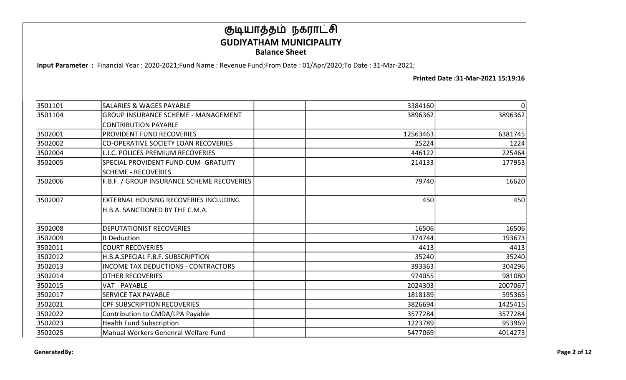Input Parameter : Financial Year : 2020-2021;Fund Name : Revenue Fund;From Date : 01/Apr/2020;To Date : 31-Mar-2021;

| 3501101 | <b>SALARIES &amp; WAGES PAYABLE</b>         | 3384160  | 0       |
|---------|---------------------------------------------|----------|---------|
| 3501104 | <b>GROUP INSURANCE SCHEME - MANAGEMENT</b>  | 3896362  | 3896362 |
|         | <b>CONTRIBUTION PAYABLE</b>                 |          |         |
| 3502001 | <b>PROVIDENT FUND RECOVERIES</b>            | 12563463 | 6381745 |
| 3502002 | <b>CO-OPERATIVE SOCIETY LOAN RECOVERIES</b> | 25224    | 1224    |
| 3502004 | <b>L.I.C. POLICES PREMIUM RECOVERIES</b>    | 446122   | 225464  |
| 3502005 | SPECIAL PROVIDENT FUND-CUM- GRATUITY        | 214133   | 177953  |
|         | <b>SCHEME - RECOVERIES</b>                  |          |         |
| 3502006 | F.B.F. / GROUP INSURANCE SCHEME RECOVERIES  | 79740    | 16620   |
|         |                                             |          |         |
| 3502007 | EXTERNAL HOUSING RECOVERIES INCLUDING       | 450      | 450     |
|         | H.B.A. SANCTIONED BY THE C.M.A.             |          |         |
|         |                                             |          |         |
| 3502008 | <b>DEPUTATIONIST RECOVERIES</b>             | 16506    | 16506   |
| 3502009 | It Deduction                                | 374744   | 193673  |
| 3502011 | <b>COURT RECOVERIES</b>                     | 4413     | 4413    |
| 3502012 | H.B.A.SPECIAL F.B.F. SUBSCRIPTION           | 35240    | 35240   |
| 3502013 | <b>INCOME TAX DEDUCTIONS - CONTRACTORS</b>  | 393363   | 304296  |
| 3502014 | <b>OTHER RECOVERIES</b>                     | 974055   | 981080  |
| 3502015 | <b>VAT - PAYABLE</b>                        | 2024303  | 2007067 |
| 3502017 | <b>SERVICE TAX PAYABLE</b>                  | 1818189  | 595365  |
| 3502021 | <b>CPF SUBSCRIPTION RECOVERIES</b>          | 3826694  | 1425415 |
| 3502022 | Contribution to CMDA/LPA Payable            | 3577284  | 3577284 |
| 3502023 | <b>Health Fund Subscription</b>             | 1223789  | 953969  |
| 3502025 | Manual Workers Genenral Welfare Fund        | 5477069  | 4014273 |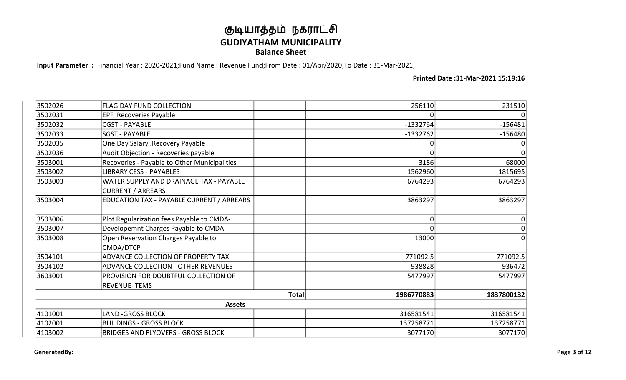Input Parameter : Financial Year : 2020-2021;Fund Name : Revenue Fund;From Date : 01/Apr/2020;To Date : 31-Mar-2021;

| 3502026 | <b>FLAG DAY FUND COLLECTION</b>              |              | 256110     | 231510     |
|---------|----------------------------------------------|--------------|------------|------------|
| 3502031 | <b>EPF</b> Recoveries Payable                |              |            |            |
| 3502032 | <b>CGST - PAYABLE</b>                        |              | $-1332764$ | $-156481$  |
| 3502033 | <b>SGST - PAYABLE</b>                        |              | $-1332762$ | $-156480$  |
| 3502035 | One Day Salary .Recovery Payable             |              |            |            |
| 3502036 | Audit Objection - Recoveries payable         |              |            |            |
| 3503001 | Recoveries - Payable to Other Municipalities |              | 3186       | 68000      |
| 3503002 | <b>LIBRARY CESS - PAYABLES</b>               |              | 1562960    | 1815695    |
| 3503003 | WATER SUPPLY AND DRAINAGE TAX - PAYABLE      |              | 6764293    | 6764293    |
|         | <b>CURRENT / ARREARS</b>                     |              |            |            |
| 3503004 | EDUCATION TAX - PAYABLE CURRENT / ARREARS    |              | 3863297    | 3863297    |
|         |                                              |              |            |            |
| 3503006 | Plot Regularization fees Payable to CMDA-    |              |            | 0          |
| 3503007 | Developemnt Charges Payable to CMDA          |              |            |            |
| 3503008 | Open Reservation Charges Payable to          |              | 13000      |            |
|         | CMDA/DTCP                                    |              |            |            |
| 3504101 | ADVANCE COLLECTION OF PROPERTY TAX           |              | 771092.5   | 771092.5   |
| 3504102 | <b>ADVANCE COLLECTION - OTHER REVENUES</b>   |              | 938828     | 936472     |
| 3603001 | PROVISION FOR DOUBTFUL COLLECTION OF         |              | 5477997    | 5477997    |
|         | <b>REVENUE ITEMS</b>                         |              |            |            |
|         |                                              | <b>Total</b> | 1986770883 | 1837800132 |
|         | <b>Assets</b>                                |              |            |            |
| 4101001 | LAND -GROSS BLOCK                            |              | 316581541  | 316581541  |
| 4102001 | <b>BUILDINGS - GROSS BLOCK</b>               |              | 137258771  | 137258771  |
| 4103002 | <b>BRIDGES AND FLYOVERS - GROSS BLOCK</b>    |              | 3077170    | 3077170    |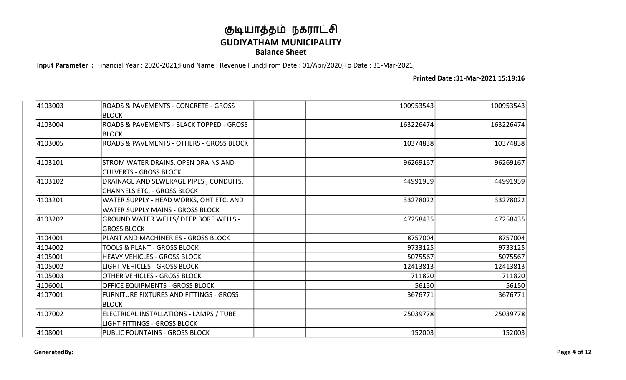Input Parameter : Financial Year : 2020-2021;Fund Name : Revenue Fund;From Date : 01/Apr/2020;To Date : 31-Mar-2021;

| 4103003 | ROADS & PAVEMENTS - CONCRETE - GROSS           | 100953543 | 100953543 |
|---------|------------------------------------------------|-----------|-----------|
|         | <b>BLOCK</b>                                   |           |           |
| 4103004 | ROADS & PAVEMENTS - BLACK TOPPED - GROSS       | 163226474 | 163226474 |
|         | <b>BLOCK</b>                                   |           |           |
| 4103005 | ROADS & PAVEMENTS - OTHERS - GROSS BLOCK       | 10374838  | 10374838  |
| 4103101 | STROM WATER DRAINS, OPEN DRAINS AND            | 96269167  | 96269167  |
|         | <b>CULVERTS - GROSS BLOCK</b>                  |           |           |
| 4103102 | DRAINAGE AND SEWERAGE PIPES, CONDUITS,         | 44991959  | 44991959  |
|         | <b>CHANNELS ETC. - GROSS BLOCK</b>             |           |           |
| 4103201 | WATER SUPPLY - HEAD WORKS, OHT ETC. AND        | 33278022  | 33278022  |
|         | <b>WATER SUPPLY MAINS - GROSS BLOCK</b>        |           |           |
| 4103202 | GROUND WATER WELLS/ DEEP BORE WELLS -          | 47258435  | 47258435  |
|         | <b>GROSS BLOCK</b>                             |           |           |
| 4104001 | PLANT AND MACHINERIES - GROSS BLOCK            | 8757004   | 8757004   |
| 4104002 | TOOLS & PLANT - GROSS BLOCK                    | 9733125   | 9733125   |
| 4105001 | <b>HEAVY VEHICLES - GROSS BLOCK</b>            | 5075567   | 5075567   |
| 4105002 | <b>LIGHT VEHICLES - GROSS BLOCK</b>            | 12413813  | 12413813  |
| 4105003 | OTHER VEHICLES - GROSS BLOCK                   | 711820    | 711820    |
| 4106001 | OFFICE EQUIPMENTS - GROSS BLOCK                | 56150     | 56150     |
| 4107001 | <b>FURNITURE FIXTURES AND FITTINGS - GROSS</b> | 3676771   | 3676771   |
|         | <b>BLOCK</b>                                   |           |           |
| 4107002 | ELECTRICAL INSTALLATIONS - LAMPS / TUBE        | 25039778  | 25039778  |
|         | <b>LIGHT FITTINGS - GROSS BLOCK</b>            |           |           |
| 4108001 | <b>PUBLIC FOUNTAINS - GROSS BLOCK</b>          | 152003    | 152003    |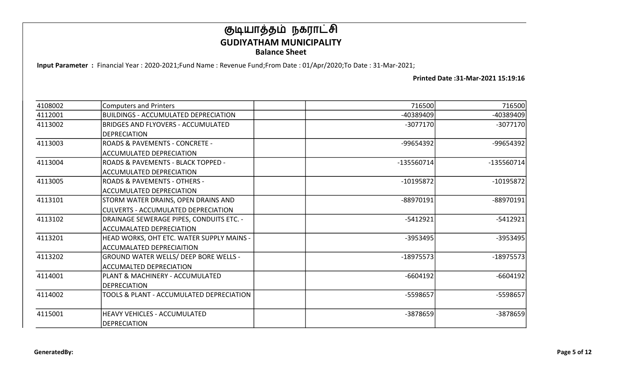Input Parameter : Financial Year : 2020-2021;Fund Name : Revenue Fund;From Date : 01/Apr/2020;To Date : 31-Mar-2021;

| 4108002 | <b>Computers and Printers</b>               | 716500       | 716500       |
|---------|---------------------------------------------|--------------|--------------|
| 4112001 | <b>BUILDINGS - ACCUMULATED DEPRECIATION</b> | $-40389409$  | -40389409    |
| 4113002 | <b>BRIDGES AND FLYOVERS - ACCUMULATED</b>   | $-3077170$   | $-3077170$   |
|         | <b>DEPRECIATION</b>                         |              |              |
| 4113003 | <b>ROADS &amp; PAVEMENTS - CONCRETE -</b>   | -99654392    | -99654392    |
|         | <b>ACCUMULATED DEPRECIATION</b>             |              |              |
| 4113004 | ROADS & PAVEMENTS - BLACK TOPPED -          | $-135560714$ | $-135560714$ |
|         | <b>ACCUMULATED DEPRECIATION</b>             |              |              |
| 4113005 | <b>ROADS &amp; PAVEMENTS - OTHERS -</b>     | $-10195872$  | $-10195872$  |
|         | <b>ACCUMULATED DEPRECIATION</b>             |              |              |
| 4113101 | STORM WATER DRAINS, OPEN DRAINS AND         | -88970191    | $-88970191$  |
|         | <b>CULVERTS - ACCUMULATED DEPRECIATION</b>  |              |              |
| 4113102 | DRAINAGE SEWERAGE PIPES, CONDUITS ETC. -    | $-5412921$   | $-5412921$   |
|         | <b>ACCUMALATED DEPRECIATION</b>             |              |              |
| 4113201 | HEAD WORKS, OHT ETC. WATER SUPPLY MAINS -   | -3953495     | $-3953495$   |
|         | <b>ACCUMALATED DEPRECIAITION</b>            |              |              |
| 4113202 | GROUND WATER WELLS/ DEEP BORE WELLS -       | $-18975573$  | $-18975573$  |
|         | <b>ACCUMALTED DEPRECIATION</b>              |              |              |
| 4114001 | PLANT & MACHINERY - ACCUMULATED             | $-6604192$   | $-6604192$   |
|         | <b>DEPRECIATION</b>                         |              |              |
| 4114002 | TOOLS & PLANT - ACCUMULATED DEPRECIATION    | -5598657     | $-5598657$   |
|         |                                             |              |              |
| 4115001 | <b>HEAVY VEHICLES - ACCUMULATED</b>         | -3878659     | -3878659     |
|         | <b>DEPRECIATION</b>                         |              |              |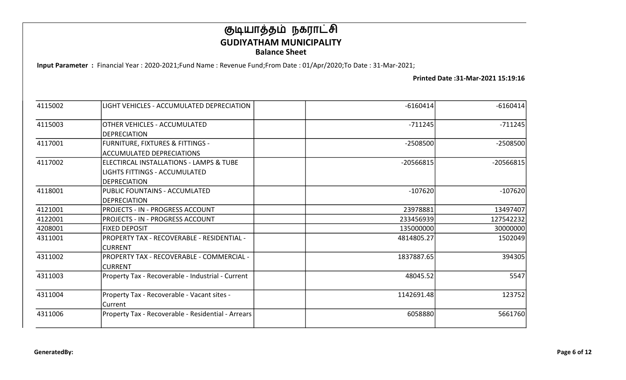Input Parameter : Financial Year : 2020-2021;Fund Name : Revenue Fund;From Date : 01/Apr/2020;To Date : 31-Mar-2021;

| 4115002 | LIGHT VEHICLES - ACCUMULATED DEPRECIATION                                                       | $-6160414$  | $-6160414$  |
|---------|-------------------------------------------------------------------------------------------------|-------------|-------------|
| 4115003 | OTHER VEHICLES - ACCUMULATED<br><b>DEPRECIATION</b>                                             | $-711245$   | $-711245$   |
| 4117001 | FURNITURE, FIXTURES & FITTINGS -<br><b>ACCUMULATED DEPRECIATIONS</b>                            | $-2508500$  | $-2508500$  |
| 4117002 | ELECTIRCAL INSTALLATIONS - LAMPS & TUBE<br>LIGHTS FITTINGS - ACCUMULATED<br><b>DEPRECIATION</b> | $-20566815$ | $-20566815$ |
| 4118001 | PUBLIC FOUNTAINS - ACCUMLATED<br><b>DEPRECIATION</b>                                            | $-107620$   | $-107620$   |
| 4121001 | <b>PROJECTS - IN - PROGRESS ACCOUNT</b>                                                         | 23978881    | 13497407    |
| 4122001 | <b>PROJECTS - IN - PROGRESS ACCOUNT</b>                                                         | 233456939   | 127542232   |
| 4208001 | <b>FIXED DEPOSIT</b>                                                                            | 135000000   | 30000000    |
| 4311001 | <b>PROPERTY TAX - RECOVERABLE - RESIDENTIAL -</b><br><b>CURRENT</b>                             | 4814805.27  | 1502049     |
| 4311002 | PROPERTY TAX - RECOVERABLE - COMMERCIAL -<br><b>CURRENT</b>                                     | 1837887.65  | 394305      |
| 4311003 | Property Tax - Recoverable - Industrial - Current                                               | 48045.52    | 5547        |
| 4311004 | Property Tax - Recoverable - Vacant sites -<br>Current                                          | 1142691.48  | 123752      |
| 4311006 | Property Tax - Recoverable - Residential - Arrears                                              | 6058880     | 5661760     |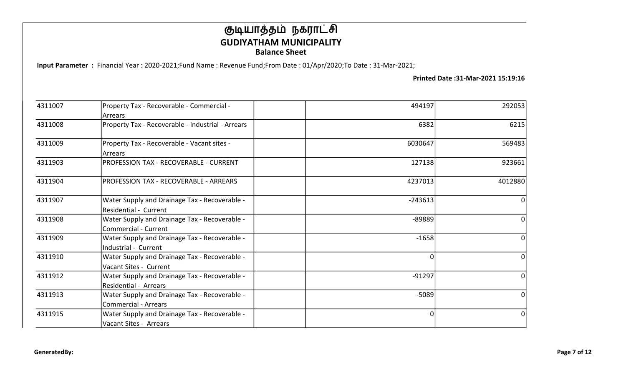Input Parameter : Financial Year : 2020-2021;Fund Name : Revenue Fund;From Date : 01/Apr/2020;To Date : 31-Mar-2021;

| 4311007 | Property Tax - Recoverable - Commercial -                                    | 494197    | 292053         |
|---------|------------------------------------------------------------------------------|-----------|----------------|
|         | Arrears                                                                      |           |                |
| 4311008 | Property Tax - Recoverable - Industrial - Arrears                            | 6382      | 6215           |
| 4311009 | Property Tax - Recoverable - Vacant sites -<br>Arrears                       | 6030647   | 569483         |
| 4311903 | PROFESSION TAX - RECOVERABLE - CURRENT                                       | 127138    | 923661         |
| 4311904 | PROFESSION TAX - RECOVERABLE - ARREARS                                       | 4237013   | 4012880        |
| 4311907 | Water Supply and Drainage Tax - Recoverable -<br>Residential - Current       | $-243613$ | 0              |
| 4311908 | Water Supply and Drainage Tax - Recoverable -<br>Commercial - Current        | $-89889$  | 0              |
| 4311909 | Water Supply and Drainage Tax - Recoverable -<br>Industrial - Current        | $-1658$   | 0              |
| 4311910 | Water Supply and Drainage Tax - Recoverable -<br>Vacant Sites - Current      | 0         | $\overline{0}$ |
| 4311912 | Water Supply and Drainage Tax - Recoverable -<br>Residential - Arrears       | $-91297$  | 0l             |
| 4311913 | Water Supply and Drainage Tax - Recoverable -<br><b>Commercial - Arrears</b> | $-5089$   | $\overline{0}$ |
| 4311915 | Water Supply and Drainage Tax - Recoverable -<br>Vacant Sites - Arrears      | $\Omega$  | $\Omega$       |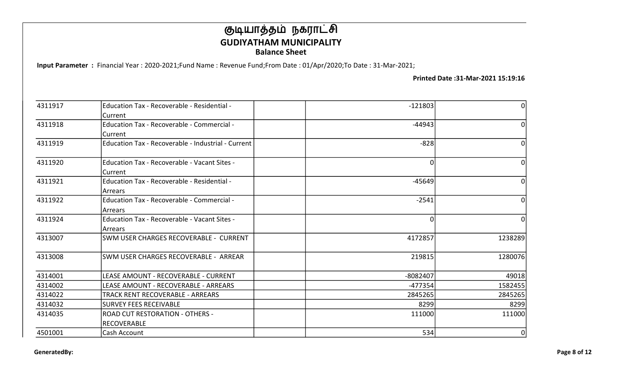Input Parameter : Financial Year : 2020-2021;Fund Name : Revenue Fund;From Date : 01/Apr/2020;To Date : 31-Mar-2021;

| 4311917 | Education Tax - Recoverable - Residential -        | $-121803$ | ΩI       |
|---------|----------------------------------------------------|-----------|----------|
|         | Current                                            |           |          |
| 4311918 | Education Tax - Recoverable - Commercial -         | $-44943$  | ΩI       |
|         | Current                                            |           |          |
| 4311919 | Education Tax - Recoverable - Industrial - Current | $-828$    | $\Omega$ |
| 4311920 | Education Tax - Recoverable - Vacant Sites -       | 0l        | ΩI       |
|         | Current                                            |           |          |
| 4311921 | Education Tax - Recoverable - Residential -        | $-45649$  | ΩI       |
|         | Arrears                                            |           |          |
| 4311922 | Education Tax - Recoverable - Commercial -         | $-2541$   | ΩI       |
|         | l Arrears                                          |           |          |
| 4311924 | Education Tax - Recoverable - Vacant Sites -       | 0l        | ΩI       |
|         | l Arrears                                          |           |          |
| 4313007 | <b>SWM USER CHARGES RECOVERABLE - CURRENT</b>      | 4172857   | 1238289  |
| 4313008 | SWM USER CHARGES RECOVERABLE - ARREAR              | 219815    | 1280076  |
| 4314001 | LEASE AMOUNT - RECOVERABLE - CURRENT               | -8082407  | 49018    |
| 4314002 | LEASE AMOUNT - RECOVERABLE - ARREARS               | -477354   | 1582455  |
| 4314022 | TRACK RENT RECOVERABLE - ARREARS                   | 2845265   | 2845265  |
| 4314032 | <b>SURVEY FEES RECEIVABLE</b>                      | 8299      | 8299     |
| 4314035 | <b>ROAD CUT RESTORATION - OTHERS -</b>             | 111000    | 111000   |
|         | <b>RECOVERABLE</b>                                 |           |          |
| 4501001 | Cash Account                                       | 534       | Οl       |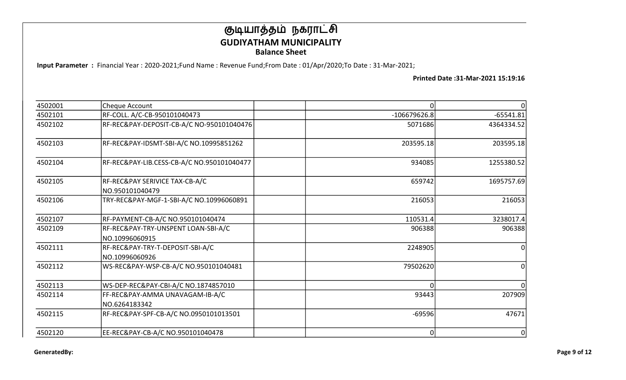Input Parameter : Financial Year : 2020-2021;Fund Name : Revenue Fund;From Date : 01/Apr/2020;To Date : 31-Mar-2021;

| 4502001 | Cheque Account                                        |                |             |
|---------|-------------------------------------------------------|----------------|-------------|
| 4502101 | RF-COLL. A/C-CB-950101040473                          | $-106679626.8$ | $-65541.81$ |
| 4502102 | RF-REC&PAY-DEPOSIT-CB-A/C NO-950101040476             | 5071686        | 4364334.52  |
| 4502103 | RF-REC&PAY-IDSMT-SBI-A/C NO.10995851262               | 203595.18      | 203595.18   |
| 4502104 | RF-REC&PAY-LIB.CESS-CB-A/C NO.950101040477            | 934085         | 1255380.52  |
| 4502105 | RF-REC&PAY SERIVICE TAX-CB-A/C<br>NO.950101040479     | 659742         | 1695757.69  |
| 4502106 | TRY-REC&PAY-MGF-1-SBI-A/C NO.10996060891              | 216053         | 216053      |
| 4502107 | RF-PAYMENT-CB-A/C NO.950101040474                     | 110531.4       | 3238017.4   |
| 4502109 | RF-REC&PAY-TRY-UNSPENT LOAN-SBI-A/C<br>NO.10996060915 | 906388         | 906388      |
| 4502111 | RF-REC&PAY-TRY-T-DEPOSIT-SBI-A/C<br>NO.10996060926    | 2248905        |             |
| 4502112 | WS-REC&PAY-WSP-CB-A/C NO.950101040481                 | 79502620       |             |
| 4502113 | WS-DEP-REC&PAY-CBI-A/C NO.1874857010                  | O              |             |
| 4502114 | FF-REC&PAY-AMMA UNAVAGAM-IB-A/C                       | 93443          | 207909      |
|         | NO.6264183342                                         |                |             |
| 4502115 | RF-REC&PAY-SPF-CB-A/C NO.0950101013501                | $-69596$       | 47671       |
| 4502120 | EE-REC&PAY-CB-A/C NO.950101040478                     | 0              | 0           |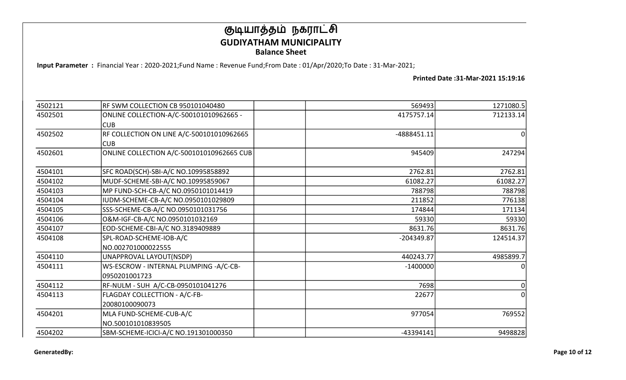Input Parameter : Financial Year : 2020-2021;Fund Name : Revenue Fund;From Date : 01/Apr/2020;To Date : 31-Mar-2021;

| 4502121 | RF SWM COLLECTION CB 950101040480         | 569493        | 1271080.5    |
|---------|-------------------------------------------|---------------|--------------|
| 4502501 | ONLINE COLLECTION-A/C-500101010962665 -   | 4175757.14    | 712133.14    |
|         | lCUB.                                     |               |              |
| 4502502 | RF COLLECTION ON LINE A/C-500101010962665 | $-4888451.11$ | 0            |
|         | lCUB                                      |               |              |
| 4502601 | ONLINE COLLECTION A/C-500101010962665 CUB | 945409        | 247294       |
| 4504101 | SFC ROAD(SCH)-SBI-A/C NO.10995858892      | 2762.81       | 2762.81      |
| 4504102 | MUDF-SCHEME-SBI-A/C NO.10995859067        | 61082.27      | 61082.27     |
| 4504103 | MP FUND-SCH-CB-A/C NO.0950101014419       | 788798        | 788798       |
| 4504104 | IUDM-SCHEME-CB-A/C NO.0950101029809       | 211852        | 776138       |
| 4504105 | SSS-SCHEME-CB-A/C NO.0950101031756        | 174844        | 171134       |
| 4504106 | O&M-IGF-CB-A/C NO.0950101032169           | 59330         | 59330        |
| 4504107 | EOD-SCHEME-CBI-A/C NO.3189409889          | 8631.76       | 8631.76      |
| 4504108 | SPL-ROAD-SCHEME-IOB-A/C                   | -204349.87    | 124514.37    |
|         | NO.002701000022555                        |               |              |
| 4504110 | UNAPPROVAL LAYOUT(NSDP)                   | 440243.77     | 4985899.7    |
| 4504111 | WS-ESCROW - INTERNAL PLUMPING -A/C-CB-    | $-1400000$    | $\mathbf{0}$ |
|         | 0950201001723                             |               |              |
| 4504112 | RF-NULM - SUH A/C-CB-0950101041276        | 7698          | 0            |
| 4504113 | FLAGDAY COLLECTTION - A/C-FB-             | 22677         | $\Omega$     |
|         | 20080100090073                            |               |              |
| 4504201 | MLA FUND-SCHEME-CUB-A/C                   | 977054        | 769552       |
|         | NO.500101010839505                        |               |              |
| 4504202 | SBM-SCHEME-ICICI-A/C NO.191301000350      | $-43394141$   | 9498828      |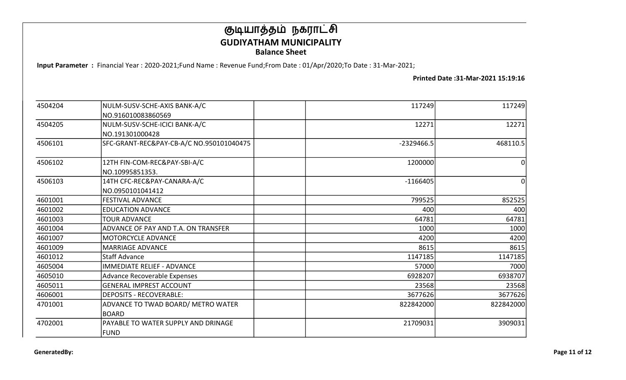Input Parameter : Financial Year : 2020-2021;Fund Name : Revenue Fund;From Date : 01/Apr/2020;To Date : 31-Mar-2021;

| 4504204 | NULM-SUSV-SCHE-AXIS BANK-A/C             | 117249       | 117249    |
|---------|------------------------------------------|--------------|-----------|
|         | NO.916010083860569                       |              |           |
| 4504205 | NULM-SUSV-SCHE-ICICI BANK-A/C            | 12271        | 12271     |
|         | NO.191301000428                          |              |           |
| 4506101 | SFC-GRANT-REC&PAY-CB-A/C NO.950101040475 | $-2329466.5$ | 468110.5  |
| 4506102 | 12TH FIN-COM-REC&PAY-SBI-A/C             | 1200000      | 0         |
|         | NO.10995851353.                          |              |           |
| 4506103 | 14TH CFC-REC&PAY-CANARA-A/C              | $-1166405$   | $\Omega$  |
|         | NO.0950101041412                         |              |           |
| 4601001 | <b>FESTIVAL ADVANCE</b>                  | 799525       | 852525    |
| 4601002 | <b>EDUCATION ADVANCE</b>                 | 400          | 400       |
| 4601003 | <b>TOUR ADVANCE</b>                      | 64781        | 64781     |
| 4601004 | ADVANCE OF PAY AND T.A. ON TRANSFER      | 1000         | 1000      |
| 4601007 | MOTORCYCLE ADVANCE                       | 4200         | 4200      |
| 4601009 | lMARRIAGE ADVANCE                        | 8615         | 8615      |
| 4601012 | lStaff Advance                           | 1147185      | 1147185   |
| 4605004 | <b>IMMEDIATE RELIEF - ADVANCE</b>        | 57000        | 7000      |
| 4605010 | Advance Recoverable Expenses             | 6928207      | 6938707   |
| 4605011 | <b>GENERAL IMPREST ACCOUNT</b>           | 23568        | 23568     |
| 4606001 | <b>DEPOSITS - RECOVERABLE:</b>           | 3677626      | 3677626   |
| 4701001 | ADVANCE TO TWAD BOARD/ METRO WATER       | 822842000    | 822842000 |
|         | <b>BOARD</b>                             |              |           |
| 4702001 | PAYABLE TO WATER SUPPLY AND DRINAGE      | 21709031     | 3909031   |
|         | FUND                                     |              |           |